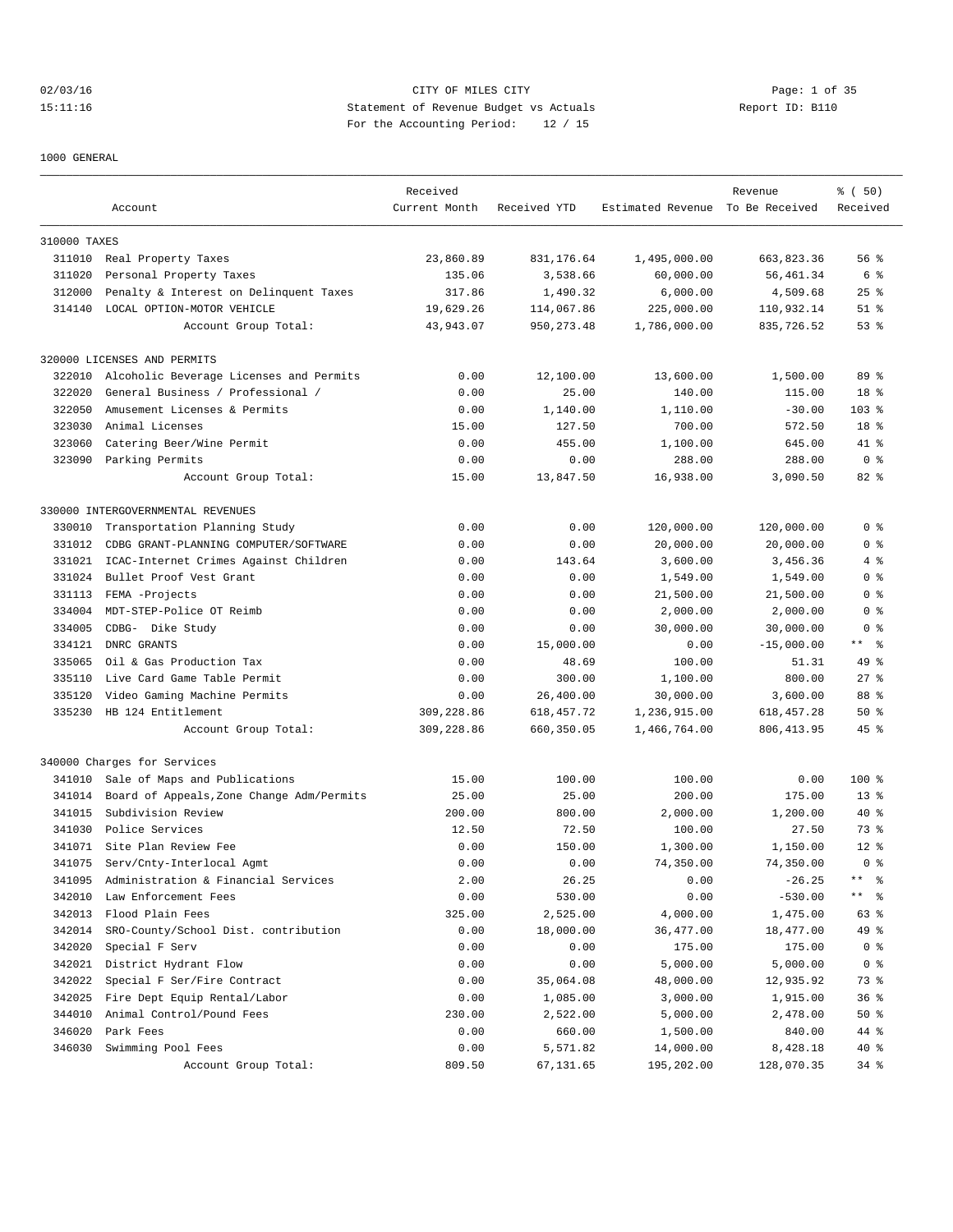# 02/03/16 Page: 1 of 35 15:11:16 Statement of Revenue Budget vs Actuals Report ID: B110 For the Accounting Period: 12 / 15

1000 GENERAL

|              |                                           | Received      |              |                                  | Revenue      | % ( 50)         |
|--------------|-------------------------------------------|---------------|--------------|----------------------------------|--------------|-----------------|
|              | Account                                   | Current Month | Received YTD | Estimated Revenue To Be Received |              | Received        |
| 310000 TAXES |                                           |               |              |                                  |              |                 |
| 311010       | Real Property Taxes                       | 23,860.89     | 831, 176.64  | 1,495,000.00                     | 663,823.36   | 56%             |
| 311020       | Personal Property Taxes                   | 135.06        | 3,538.66     | 60,000.00                        | 56,461.34    | 6 %             |
| 312000       | Penalty & Interest on Delinquent Taxes    | 317.86        | 1,490.32     | 6,000.00                         | 4,509.68     | $25$ %          |
| 314140       | LOCAL OPTION-MOTOR VEHICLE                | 19,629.26     | 114,067.86   | 225,000.00                       | 110,932.14   | $51$ %          |
|              | Account Group Total:                      | 43,943.07     | 950, 273.48  | 1,786,000.00                     | 835,726.52   | $53$ $%$        |
|              | 320000 LICENSES AND PERMITS               |               |              |                                  |              |                 |
| 322010       | Alcoholic Beverage Licenses and Permits   | 0.00          | 12,100.00    | 13,600.00                        | 1,500.00     | 89 %            |
| 322020       | General Business / Professional /         | 0.00          | 25.00        | 140.00                           | 115.00       | 18 <sup>8</sup> |
| 322050       | Amusement Licenses & Permits              | 0.00          | 1,140.00     | 1,110.00                         | $-30.00$     | $103$ %         |
| 323030       | Animal Licenses                           | 15.00         | 127.50       | 700.00                           | 572.50       | 18 %            |
| 323060       | Catering Beer/Wine Permit                 | 0.00          | 455.00       | 1,100.00                         | 645.00       | 41 %            |
|              | 323090 Parking Permits                    | 0.00          | 0.00         | 288.00                           | 288.00       | 0 <sup>8</sup>  |
|              |                                           |               | 13,847.50    | 16,938.00                        | 3,090.50     |                 |
|              | Account Group Total:                      | 15.00         |              |                                  |              | $82*$           |
|              | 330000 INTERGOVERNMENTAL REVENUES         |               |              |                                  |              |                 |
| 330010       | Transportation Planning Study             | 0.00          | 0.00         | 120,000.00                       | 120,000.00   | 0 <sup>8</sup>  |
| 331012       | CDBG GRANT-PLANNING COMPUTER/SOFTWARE     | 0.00          | 0.00         | 20,000.00                        | 20,000.00    | 0 <sup>8</sup>  |
| 331021       | ICAC-Internet Crimes Against Children     | 0.00          | 143.64       | 3,600.00                         | 3,456.36     | 4 %             |
| 331024       | Bullet Proof Vest Grant                   | 0.00          | 0.00         | 1,549.00                         | 1,549.00     | 0 %             |
| 331113       | FEMA -Projects                            | 0.00          | 0.00         | 21,500.00                        | 21,500.00    | 0 <sup>8</sup>  |
| 334004       | MDT-STEP-Police OT Reimb                  | 0.00          | 0.00         | 2,000.00                         | 2,000.00     | 0 <sup>8</sup>  |
| 334005       | CDBG- Dike Study                          | 0.00          | 0.00         | 30,000.00                        | 30,000.00    | 0 <sup>8</sup>  |
| 334121       | DNRC GRANTS                               | 0.00          | 15,000.00    | 0.00                             | $-15,000.00$ | ** 왕            |
| 335065       | Oil & Gas Production Tax                  | 0.00          | 48.69        | 100.00                           | 51.31        | 49 %            |
| 335110       | Live Card Game Table Permit               | 0.00          | 300.00       | 1,100.00                         | 800.00       | $27$ %          |
| 335120       | Video Gaming Machine Permits              | 0.00          | 26,400.00    | 30,000.00                        | 3,600.00     | 88 %            |
| 335230       | HB 124 Entitlement                        | 309,228.86    | 618, 457. 72 | 1,236,915.00                     | 618, 457.28  | 50%             |
|              | Account Group Total:                      | 309,228.86    | 660,350.05   | 1,466,764.00                     | 806, 413.95  | $45$ %          |
|              | 340000 Charges for Services               |               |              |                                  |              |                 |
| 341010       | Sale of Maps and Publications             | 15.00         | 100.00       | 100.00                           | 0.00         | 100 %           |
| 341014       | Board of Appeals, Zone Change Adm/Permits | 25.00         | 25.00        | 200.00                           | 175.00       | $13*$           |
| 341015       | Subdivision Review                        | 200.00        | 800.00       | 2,000.00                         | 1,200.00     | $40*$           |
| 341030       | Police Services                           | 12.50         | 72.50        | 100.00                           | 27.50        | 738             |
|              | 341071 Site Plan Review Fee               | 0.00          | 150.00       | 1,300.00                         | 1,150.00     | $12*$           |
| 341075       | Serv/Cnty-Interlocal Agmt                 | 0.00          | 0.00         | 74,350.00                        | 74,350.00    | 0 <sup>8</sup>  |
| 341095       | Administration & Financial Services       | 2.00          | 26.25        | 0.00                             | $-26.25$     | ** 왕            |
| 342010       | Law Enforcement Fees                      | 0.00          | 530.00       | 0.00                             | $-530.00$    | ** 응            |
| 342013       | Flood Plain Fees                          | 325.00        | 2,525.00     | 4,000.00                         | 1,475.00     | 63 %            |
| 342014       | SRO-County/School Dist. contribution      | 0.00          | 18,000.00    | 36, 477.00                       | 18,477.00    | 49 %            |
| 342020       | Special F Serv                            | 0.00          | 0.00         | 175.00                           | 175.00       | 0 <sub>8</sub>  |
| 342021       | District Hydrant Flow                     | 0.00          | 0.00         | 5,000.00                         | 5,000.00     | 0 <sub>8</sub>  |
| 342022       | Special F Ser/Fire Contract               | 0.00          | 35,064.08    | 48,000.00                        | 12,935.92    | 73 %            |
| 342025       | Fire Dept Equip Rental/Labor              | 0.00          | 1,085.00     | 3,000.00                         | 1,915.00     | 36%             |
| 344010       | Animal Control/Pound Fees                 | 230.00        | 2,522.00     | 5,000.00                         | 2,478.00     | 50%             |
| 346020       | Park Fees                                 | 0.00          | 660.00       | 1,500.00                         | 840.00       | 44 %            |
| 346030       | Swimming Pool Fees                        | 0.00          | 5,571.82     | 14,000.00                        | 8,428.18     | 40 %            |
|              | Account Group Total:                      | 809.50        | 67,131.65    | 195,202.00                       | 128,070.35   | $34$ $%$        |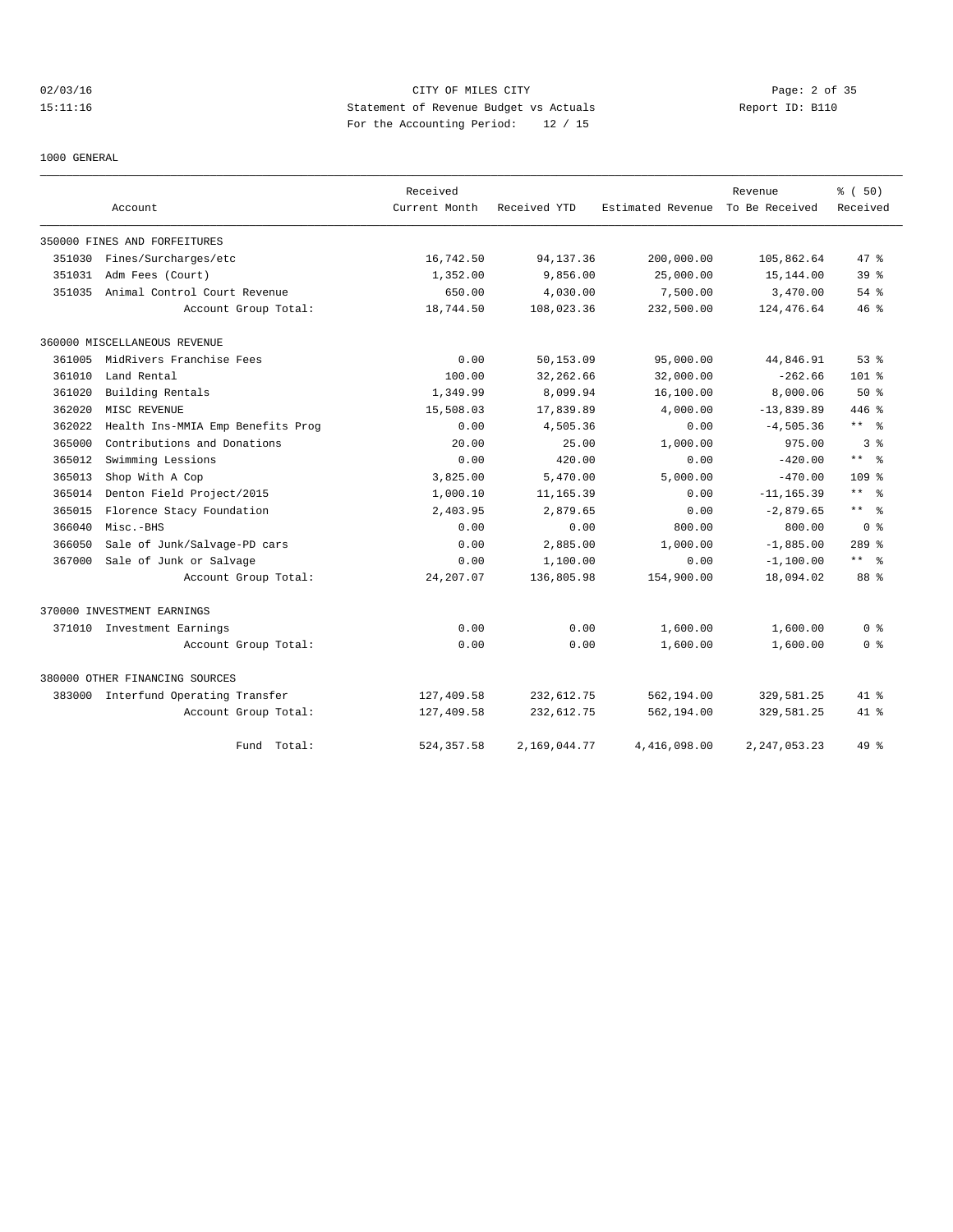02/03/16 CITY OF MILES CITY Page: 2 of 35 15:11:16 Statement of Revenue Budget vs Actuals Report ID: B110 For the Accounting Period: 12 / 15

1000 GENERAL

|        |                                   | Received      |              |                   | Revenue         | % (50)           |
|--------|-----------------------------------|---------------|--------------|-------------------|-----------------|------------------|
|        | Account                           | Current Month | Received YTD | Estimated Revenue | To Be Received  | Received         |
|        | 350000 FINES AND FORFEITURES      |               |              |                   |                 |                  |
| 351030 | Fines/Surcharges/etc              | 16,742.50     | 94, 137.36   | 200,000.00        | 105,862.64      | 47.8             |
| 351031 | Adm Fees (Court)                  | 1,352.00      | 9,856.00     | 25,000.00         | 15,144.00       | 39 <sup>8</sup>  |
| 351035 | Animal Control Court Revenue      | 650.00        | 4,030.00     | 7,500.00          | 3,470.00        | 54 %             |
|        | Account Group Total:              | 18,744.50     | 108,023.36   | 232,500.00        | 124,476.64      | 46%              |
|        | 360000 MISCELLANEOUS REVENUE      |               |              |                   |                 |                  |
| 361005 | MidRivers Franchise Fees          | 0.00          | 50,153.09    | 95,000.00         | 44,846.91       | 53%              |
| 361010 | Land Rental                       | 100.00        | 32, 262.66   | 32,000.00         | $-262.66$       | $101*$           |
| 361020 | Building Rentals                  | 1,349.99      | 8,099.94     | 16,100.00         | 8,000.06        | 50%              |
| 362020 | MISC REVENUE                      | 15,508.03     | 17,839.89    | 4,000.00          | $-13,839.89$    | $446$ %          |
| 362022 | Health Ins-MMIA Emp Benefits Prog | 0.00          | 4,505.36     | 0.00              | $-4,505.36$     | $***$ $%$        |
| 365000 | Contributions and Donations       | 20.00         | 25.00        | 1,000.00          | 975.00          | 3 <sup>8</sup>   |
| 365012 | Swimming Lessions                 | 0.00          | 420.00       | 0.00              | $-420.00$       | $***$ $ -$       |
| 365013 | Shop With A Cop                   | 3,825.00      | 5,470.00     | 5.000.00          | $-470.00$       | 109 <sub>8</sub> |
| 365014 | Denton Field Project/2015         | 1,000.10      | 11,165.39    | 0.00              | $-11, 165.39$   | $***$ $ -$       |
| 365015 | Florence Stacy Foundation         | 2,403.95      | 2,879.65     | 0.00              | $-2,879.65$     | $***$ 8          |
| 366040 | Misc.-BHS                         | 0.00          | 0.00         | 800.00            | 800.00          | 0 <sup>8</sup>   |
| 366050 | Sale of Junk/Salvage-PD cars      | 0.00          | 2,885.00     | 1,000.00          | $-1,885.00$     | $289$ $%$        |
| 367000 | Sale of Junk or Salvage           | 0.00          | 1,100.00     | 0.00              | $-1, 100.00$    | $***$ $ -$       |
|        | Account Group Total:              | 24, 207.07    | 136,805.98   | 154,900.00        | 18,094.02       | 88 %             |
|        | 370000 INVESTMENT EARNINGS        |               |              |                   |                 |                  |
|        | 371010 Investment Earnings        | 0.00          | 0.00         | 1,600.00          | 1,600.00        | 0 %              |
|        | Account Group Total:              | 0.00          | 0.00         | 1,600.00          | 1,600.00        | 0 <sup>8</sup>   |
|        | 380000 OTHER FINANCING SOURCES    |               |              |                   |                 |                  |
| 383000 | Interfund Operating Transfer      | 127,409.58    | 232,612.75   | 562,194.00        | 329,581.25      | $41*$            |
|        | Account Group Total:              | 127,409.58    | 232,612.75   | 562,194.00        | 329,581.25      | $41*$            |
|        | Total:<br>Fund                    | 524, 357.58   | 2,169,044.77 | 4,416,098.00      | 2, 247, 053. 23 | 49 %             |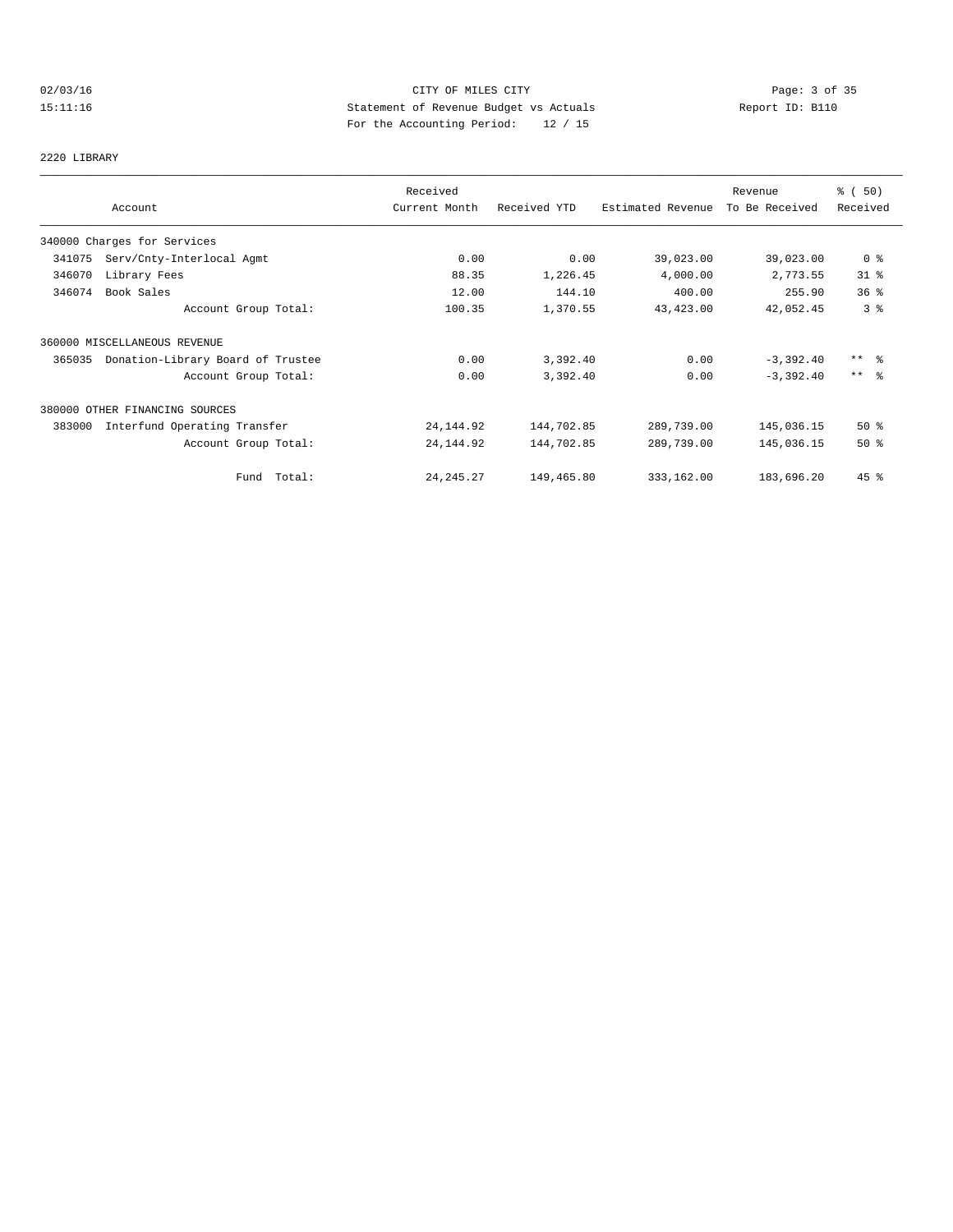# 02/03/16 CITY OF MILES CITY Page: 3 of 35 15:11:16 Statement of Revenue Budget vs Actuals Report ID: B110 For the Accounting Period: 12 / 15

# 2220 LIBRARY

|        |                                   | Received      |              |                   | Revenue        | % (50)          |
|--------|-----------------------------------|---------------|--------------|-------------------|----------------|-----------------|
|        | Account                           | Current Month | Received YTD | Estimated Revenue | To Be Received | Received        |
|        | 340000 Charges for Services       |               |              |                   |                |                 |
| 341075 | Serv/Cnty-Interlocal Agmt         | 0.00          | 0.00         | 39,023.00         | 39,023.00      | 0 <sup>8</sup>  |
| 346070 | Library Fees                      | 88.35         | 1,226.45     | 4,000.00          | 2,773.55       | $31$ $%$        |
| 346074 | Book Sales                        | 12.00         | 144.10       | 400.00            | 255.90         | 36 <sup>8</sup> |
|        | Account Group Total:              | 100.35        | 1,370.55     | 43,423.00         | 42,052.45      | 3 <sup>°</sup>  |
|        | 360000 MISCELLANEOUS REVENUE      |               |              |                   |                |                 |
| 365035 | Donation-Library Board of Trustee | 0.00          | 3,392.40     | 0.00              | $-3,392.40$    | ** 왕            |
|        | Account Group Total:              | 0.00          | 3,392.40     | 0.00              | $-3,392.40$    | $***$ $ -$      |
|        | 380000 OTHER FINANCING SOURCES    |               |              |                   |                |                 |
| 383000 | Interfund Operating Transfer      | 24, 144.92    | 144,702.85   | 289,739.00        | 145,036.15     | $50*$           |
|        | Account Group Total:              | 24, 144.92    | 144,702.85   | 289,739.00        | 145,036.15     | $50*$           |
|        | Fund Total:                       | 24, 245. 27   | 149,465.80   | 333,162.00        | 183,696.20     | $45$ %          |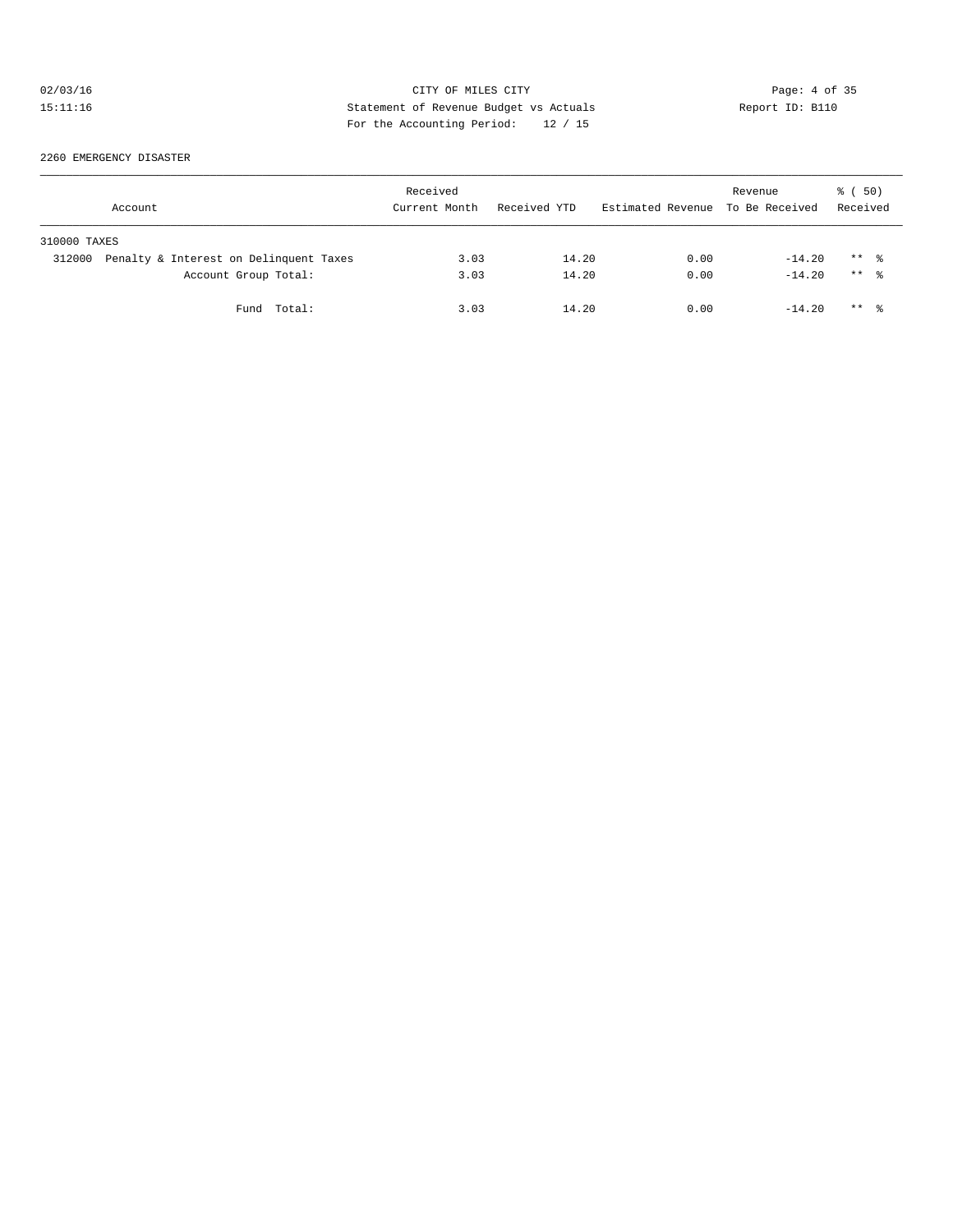# 02/03/16 CITY OF MILES CITY CHES CITY Page: 4 of 35<br>15:11:16 Statement of Revenue Budget vs Actuals Report ID: B110<br>2014 Statement of Revenue Budget vs Actuals 15:11:16 Statement of Revenue Budget vs Actuals Report ID: B110 For the Accounting Period: 12 / 15

2260 EMERGENCY DISASTER

|              | Account                                | Received<br>Current Month | Received YTD | Estimated Revenue To Be Received | Revenue  | ៖ (50)<br>Received  |  |
|--------------|----------------------------------------|---------------------------|--------------|----------------------------------|----------|---------------------|--|
| 310000 TAXES |                                        |                           |              |                                  |          |                     |  |
| 312000       | Penalty & Interest on Delinquent Taxes | 3.03                      | 14.20        | 0.00                             | $-14.20$ | $***$ $\frac{6}{3}$ |  |
|              | Account Group Total:                   | 3.03                      | 14.20        | 0.00                             | $-14.20$ | $***$ $\frac{6}{6}$ |  |
|              | Fund Total:                            | 3.03                      | 14.20        | 0.00                             | $-14.20$ | $***$ $\frac{6}{3}$ |  |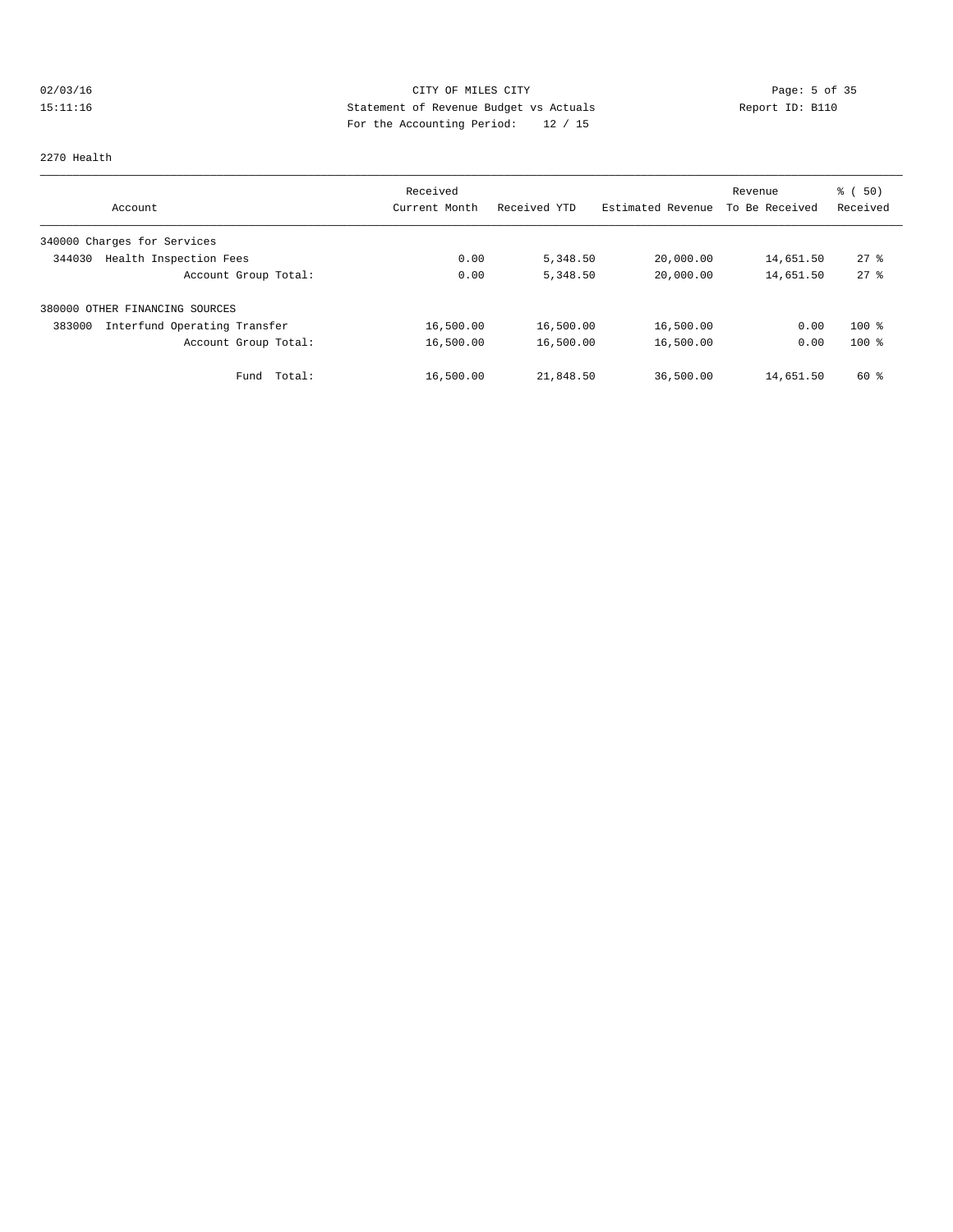# 02/03/16 CITY OF MILES CITY CHES CONTRIBUTE PROPERTY Page: 5 of 35<br>15:11:16 Statement of Revenue Budget vs Actuals Report ID: B110<br>19.4 Contribute Property and the Actual Property of Contribution Property of Contract Prope 15:11:16 Statement of Revenue Budget vs Actuals Report ID: B110 For the Accounting Period: 12 / 15

#### 2270 Health

|                                        | Received      |              |                   | Revenue        | % ( 50 )       |
|----------------------------------------|---------------|--------------|-------------------|----------------|----------------|
| Account                                | Current Month | Received YTD | Estimated Revenue | To Be Received | Received       |
| 340000 Charges for Services            |               |              |                   |                |                |
| Health Inspection Fees<br>344030       | 0.00          | 5,348.50     | 20,000.00         | 14,651.50      | $27$ $\approx$ |
| Account Group Total:                   | 0.00          | 5,348.50     | 20,000.00         | 14,651.50      | $27$ $%$       |
| 380000 OTHER FINANCING SOURCES         |               |              |                   |                |                |
| Interfund Operating Transfer<br>383000 | 16,500.00     | 16,500.00    | 16,500.00         | 0.00           | $100*$         |
| Account Group Total:                   | 16,500.00     | 16,500.00    | 16,500.00         | 0.00           | $100*$         |
| Total:<br>Fund                         | 16,500.00     | 21,848.50    | 36,500.00         | 14,651.50      | 60 %           |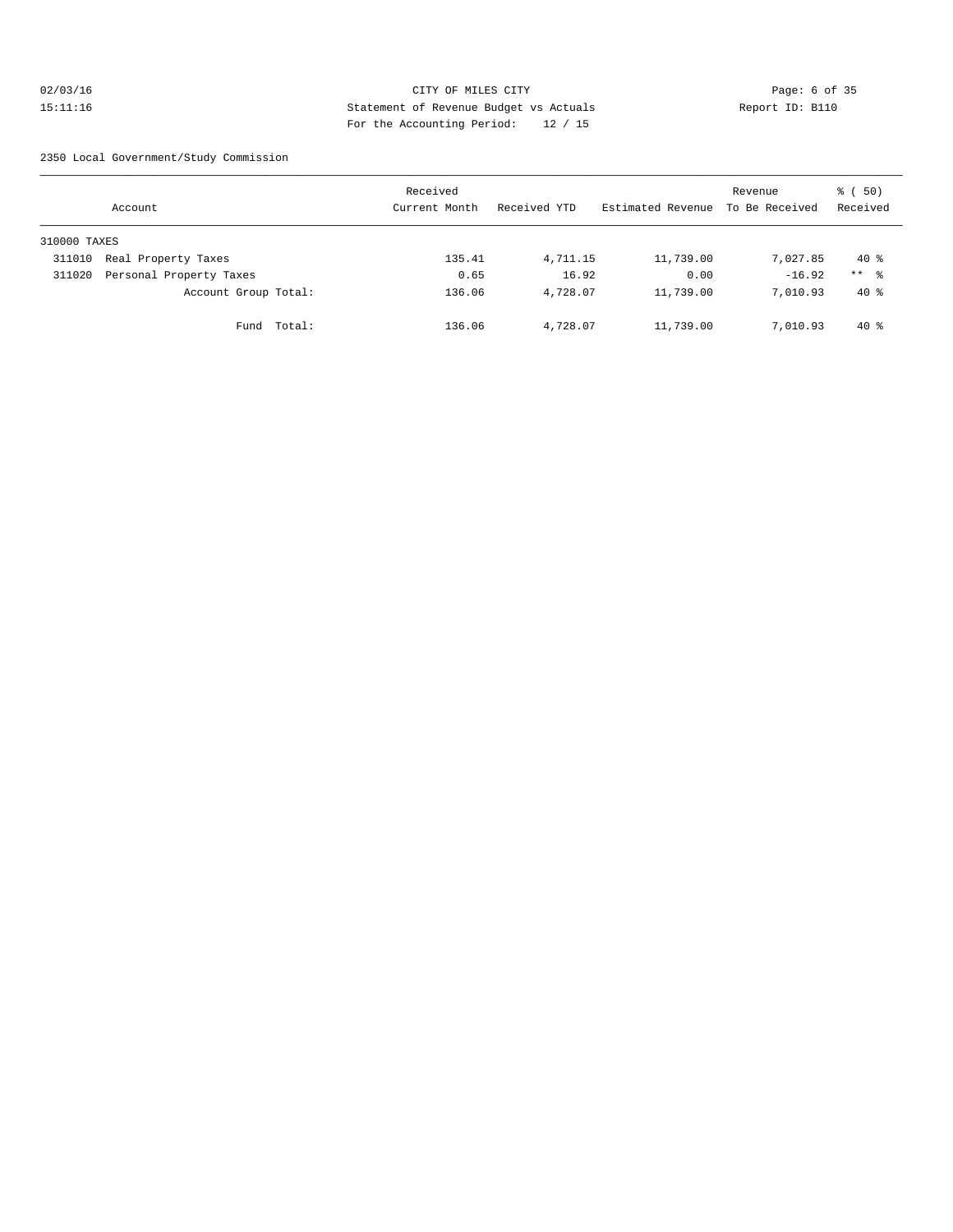# 02/03/16 CITY OF MILES CITY Page: 6 of 35 15:11:16 Statement of Revenue Budget vs Actuals Report ID: B110 For the Accounting Period: 12 / 15

2350 Local Government/Study Commission

|              | Account                 |        | Received<br>Current Month | Received YTD | Estimated Revenue | Revenue<br>To Be Received | (50)<br>ී (<br>Received |
|--------------|-------------------------|--------|---------------------------|--------------|-------------------|---------------------------|-------------------------|
| 310000 TAXES |                         |        |                           |              |                   |                           |                         |
| 311010       | Real Property Taxes     |        | 135.41                    | 4,711.15     | 11,739.00         | 7,027.85                  | $40*$                   |
| 311020       | Personal Property Taxes |        | 0.65                      | 16.92        | 0.00              | $-16.92$                  | $***$ %                 |
|              | Account Group Total:    |        | 136.06                    | 4,728.07     | 11,739.00         | 7,010.93                  | $40*$                   |
|              | Fund                    | Total: | 136.06                    | 4,728.07     | 11,739.00         | 7,010.93                  | $40*$                   |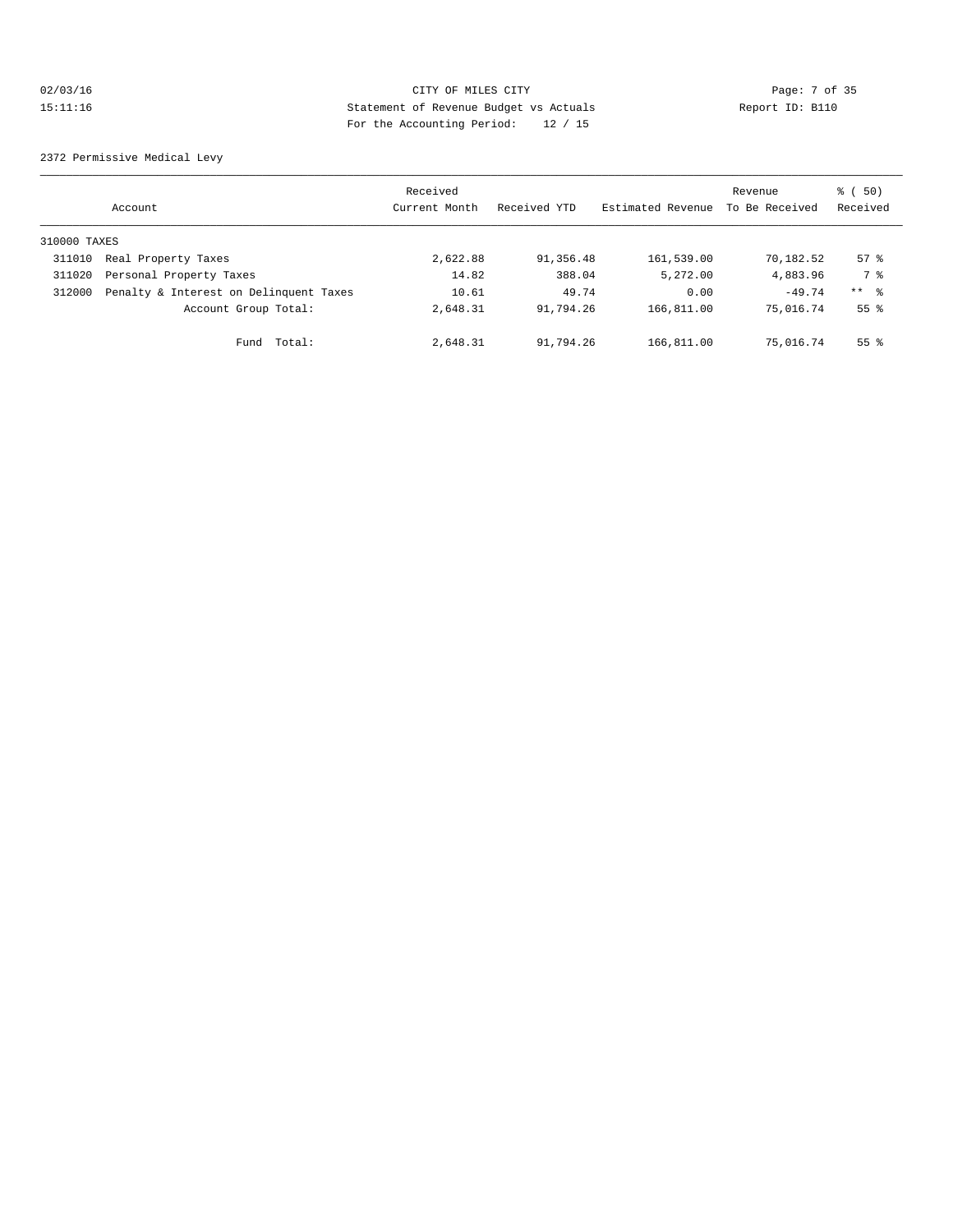# 02/03/16 CITY OF MILES CITY Page: 7 of 35 15:11:16 Statement of Revenue Budget vs Actuals Report ID: B110 For the Accounting Period: 12 / 15

2372 Permissive Medical Levy

|              | Account                                | Received<br>Current Month | Received YTD | Estimated Revenue | Revenue<br>To Be Received | 8 ( 50)<br>Received |
|--------------|----------------------------------------|---------------------------|--------------|-------------------|---------------------------|---------------------|
| 310000 TAXES |                                        |                           |              |                   |                           |                     |
| 311010       | Real Property Taxes                    | 2,622.88                  | 91,356.48    | 161,539.00        | 70,182.52                 | 57%                 |
| 311020       | Personal Property Taxes                | 14.82                     | 388.04       | 5,272.00          | 4,883.96                  | 7 %                 |
| 312000       | Penalty & Interest on Delinquent Taxes | 10.61                     | 49.74        | 0.00              | $-49.74$                  | ** 왕                |
|              | Account Group Total:                   | 2,648.31                  | 91,794.26    | 166,811.00        | 75,016.74                 | 55 <sup>8</sup>     |
|              | Total:<br>Fund                         | 2,648.31                  | 91,794.26    | 166,811.00        | 75,016.74                 | 55 <sup>8</sup>     |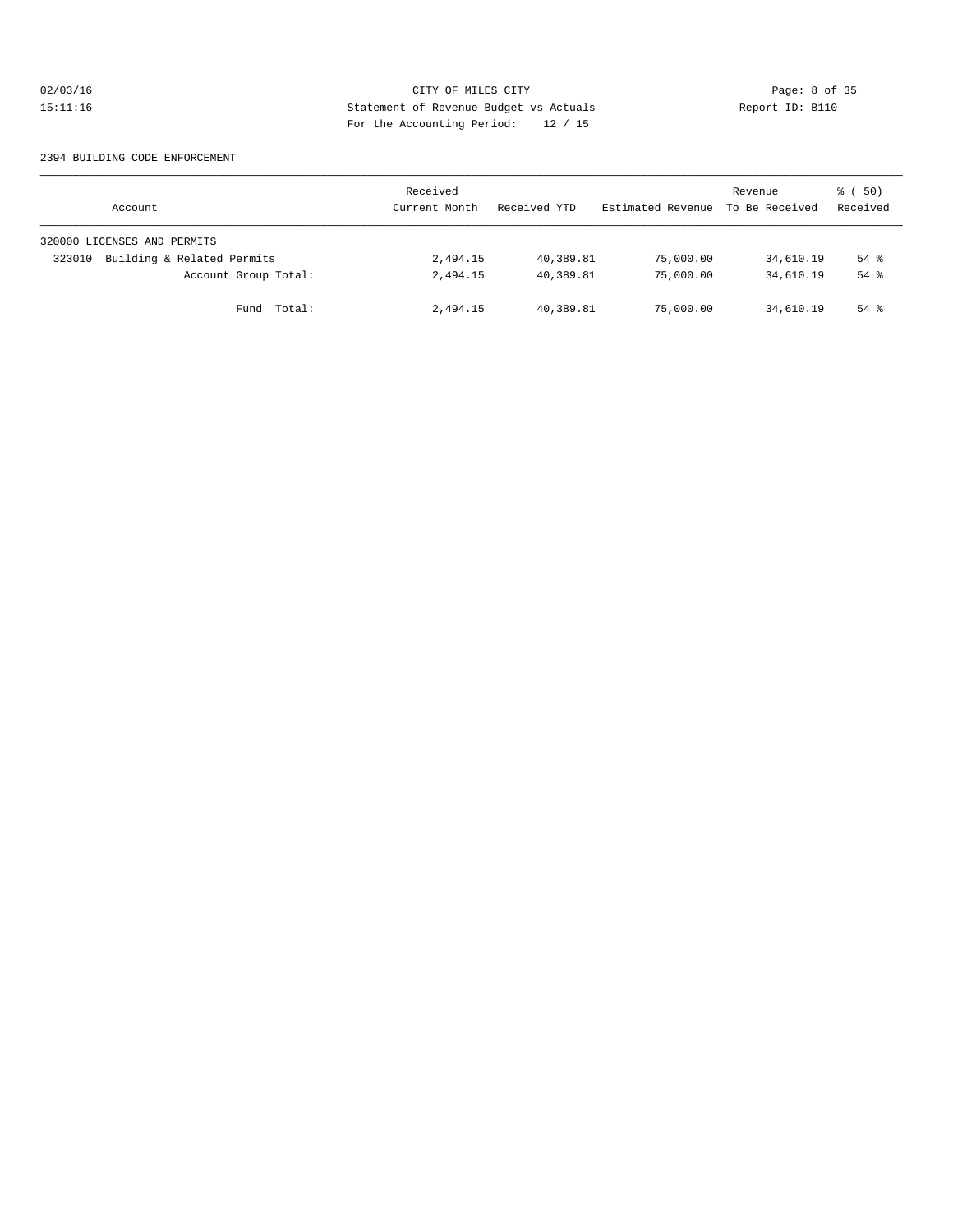# 02/03/16 CITY OF MILES CITY CHES CITY Page: 8 of 35<br>15:11:16 Statement of Revenue Budget vs Actuals Report ID: B110 15:11:16 Statement of Revenue Budget vs Actuals Report ID: B110 For the Accounting Period: 12 / 15

#### 2394 BUILDING CODE ENFORCEMENT

| Account                              | Received<br>Current Month | Received YTD | Estimated Revenue | Revenue<br>To Be Received | 8 ( 50)<br>Received |
|--------------------------------------|---------------------------|--------------|-------------------|---------------------------|---------------------|
| 320000 LICENSES AND PERMITS          |                           |              |                   |                           |                     |
| Building & Related Permits<br>323010 | 2,494.15                  | 40,389.81    | 75,000.00         | 34,610.19                 | $54$ $%$            |
| Account Group Total:                 | 2,494.15                  | 40,389.81    | 75,000.00         | 34,610.19                 | $54$ $%$            |
| Fund Total:                          | 2,494.15                  | 40,389.81    | 75,000.00         | 34,610.19                 | $54$ $%$            |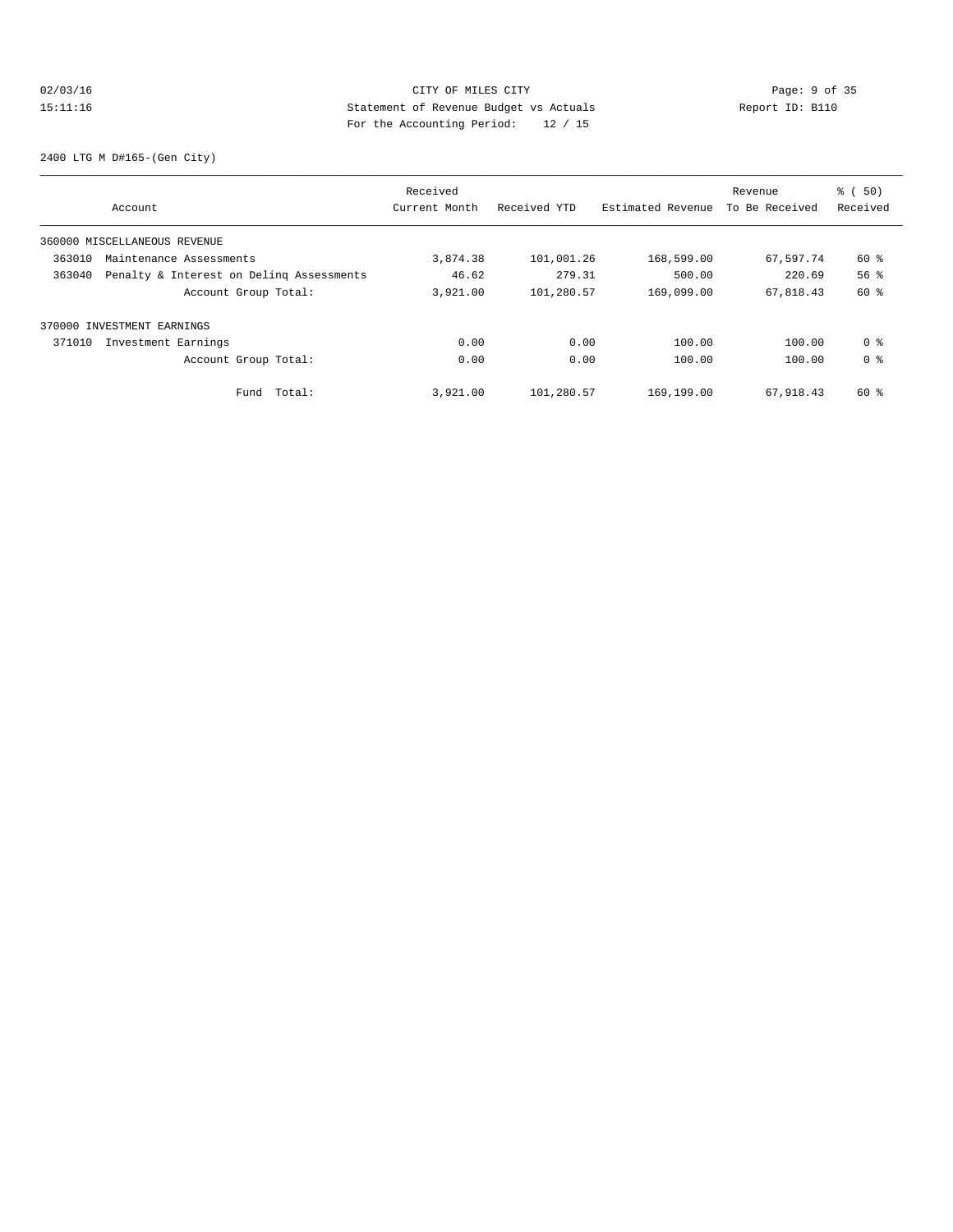# 02/03/16 CITY OF MILES CITY CHES CITY Page: 9 of 35<br>15:11:16 Statement of Revenue Budget vs Actuals Report ID: B110<br>19.11:16 Pay the Accumulate Deviced: 20.15 15:11:16 Statement of Revenue Budget vs Actuals Report ID: B110 For the Accounting Period: 12 / 15

2400 LTG M D#165-(Gen City)

|        |                                          | Received      |              |                   | Revenue        | $\frac{1}{6}$ (50) |
|--------|------------------------------------------|---------------|--------------|-------------------|----------------|--------------------|
|        | Account                                  | Current Month | Received YTD | Estimated Revenue | To Be Received | Received           |
|        | 360000 MISCELLANEOUS REVENUE             |               |              |                   |                |                    |
| 363010 | Maintenance Assessments                  | 3,874.38      | 101,001.26   | 168,599.00        | 67,597.74      | 60 %               |
| 363040 | Penalty & Interest on Deling Assessments | 46.62         | 279.31       | 500.00            | 220.69         | 56 <sup>8</sup>    |
|        | Account Group Total:                     | 3,921.00      | 101,280.57   | 169,099.00        | 67,818.43      | 60 %               |
|        | 370000 INVESTMENT EARNINGS               |               |              |                   |                |                    |
| 371010 | Investment Earnings                      | 0.00          | 0.00         | 100.00            | 100.00         | 0 %                |
|        | Account Group Total:                     | 0.00          | 0.00         | 100.00            | 100.00         | 0 <sup>8</sup>     |
|        | Total:<br>Fund                           | 3,921.00      | 101,280.57   | 169,199.00        | 67,918.43      | 60 %               |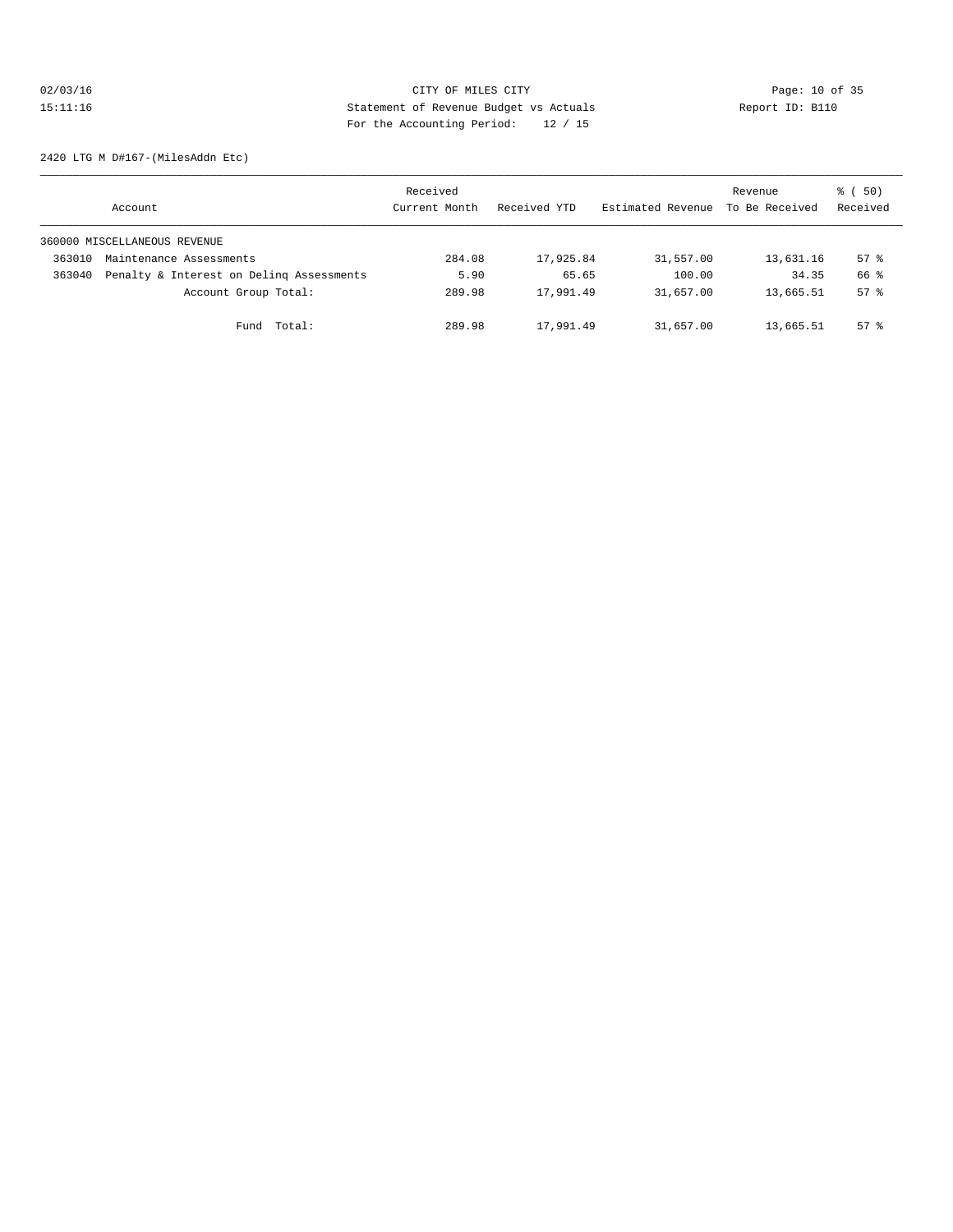# 02/03/16 Page: 10 of 35 15:11:16 Statement of Revenue Budget vs Actuals Report ID: B110 For the Accounting Period: 12 / 15

2420 LTG M D#167-(MilesAddn Etc)

|        | Account                                  | Received<br>Current Month | Received YTD | Estimated Revenue | Revenue<br>To Be Received | 8 ( 50)<br>Received |
|--------|------------------------------------------|---------------------------|--------------|-------------------|---------------------------|---------------------|
|        | 360000 MISCELLANEOUS REVENUE             |                           |              |                   |                           |                     |
| 363010 | Maintenance Assessments                  | 284.08                    | 17,925.84    | 31,557.00         | 13,631.16                 | $57$ $\frac{6}{3}$  |
| 363040 | Penalty & Interest on Deling Assessments | 5.90                      | 65.65        | 100.00            | 34.35                     | 66 %                |
|        | Account Group Total:                     | 289.98                    | 17,991.49    | 31,657.00         | 13,665.51                 | $57$ $\frac{6}{3}$  |
|        | Fund Total:                              | 289.98                    | 17,991.49    | 31,657.00         | 13,665.51                 | $57$ $%$            |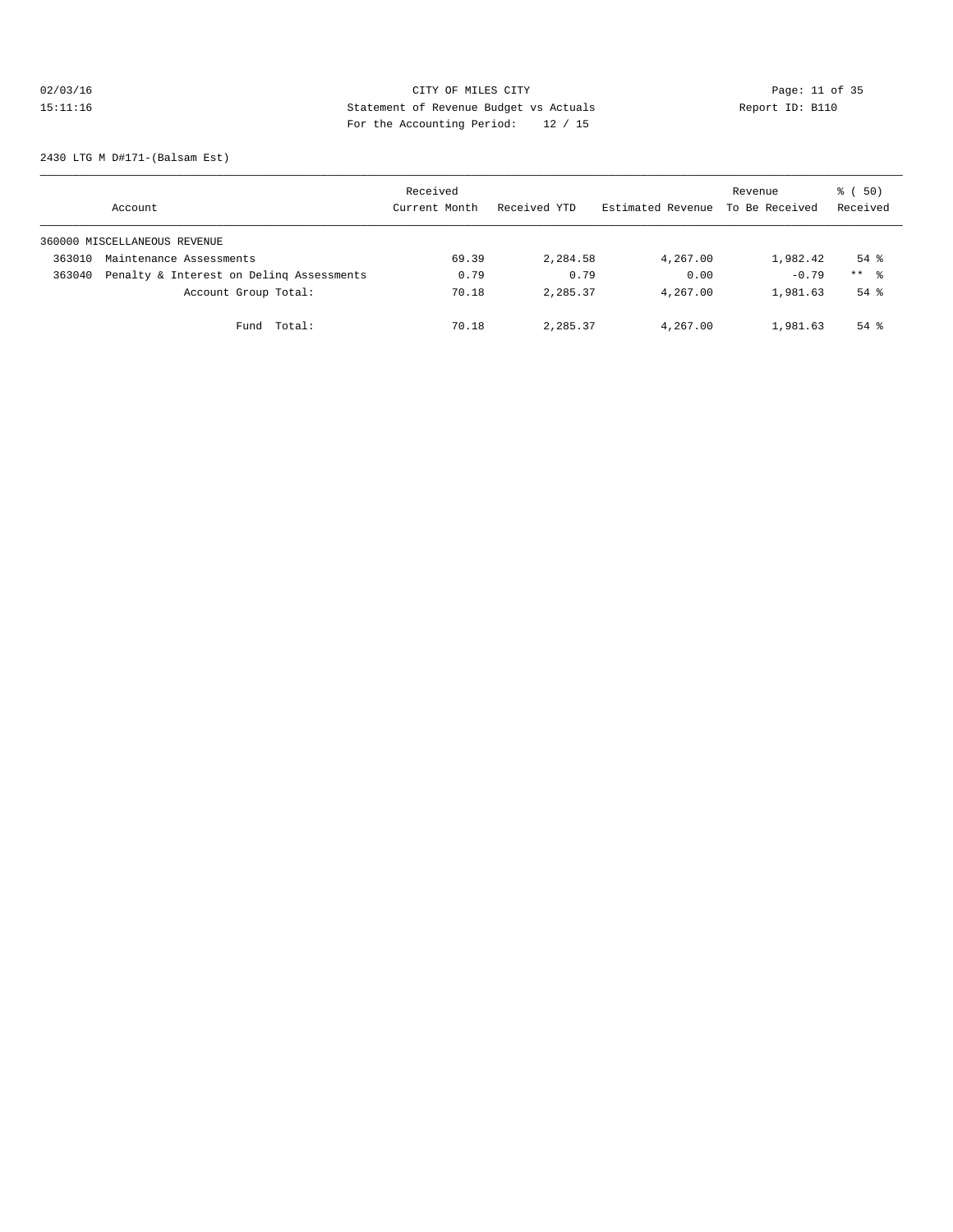# 02/03/16 Page: 11 of 35 15:11:16 Statement of Revenue Budget vs Actuals Report ID: B110 For the Accounting Period: 12 / 15

2430 LTG M D#171-(Balsam Est)

|        | Account                                  | Received<br>Current Month | Received YTD | Estimated Revenue | Revenue<br>To Be Received | 8 ( 50)<br>Received |
|--------|------------------------------------------|---------------------------|--------------|-------------------|---------------------------|---------------------|
|        | 360000 MISCELLANEOUS REVENUE             |                           |              |                   |                           |                     |
| 363010 | Maintenance Assessments                  | 69.39                     | 2,284.58     | 4,267.00          | 1,982.42                  | $54$ %              |
| 363040 | Penalty & Interest on Deling Assessments | 0.79                      | 0.79         | 0.00              | $-0.79$                   | $***$ $\approx$     |
|        | Account Group Total:                     | 70.18                     | 2,285.37     | 4,267.00          | 1,981.63                  | $54$ $%$            |
|        | Total:<br>Fund                           | 70.18                     | 2,285.37     | 4,267.00          | 1,981.63                  | $54$ $%$            |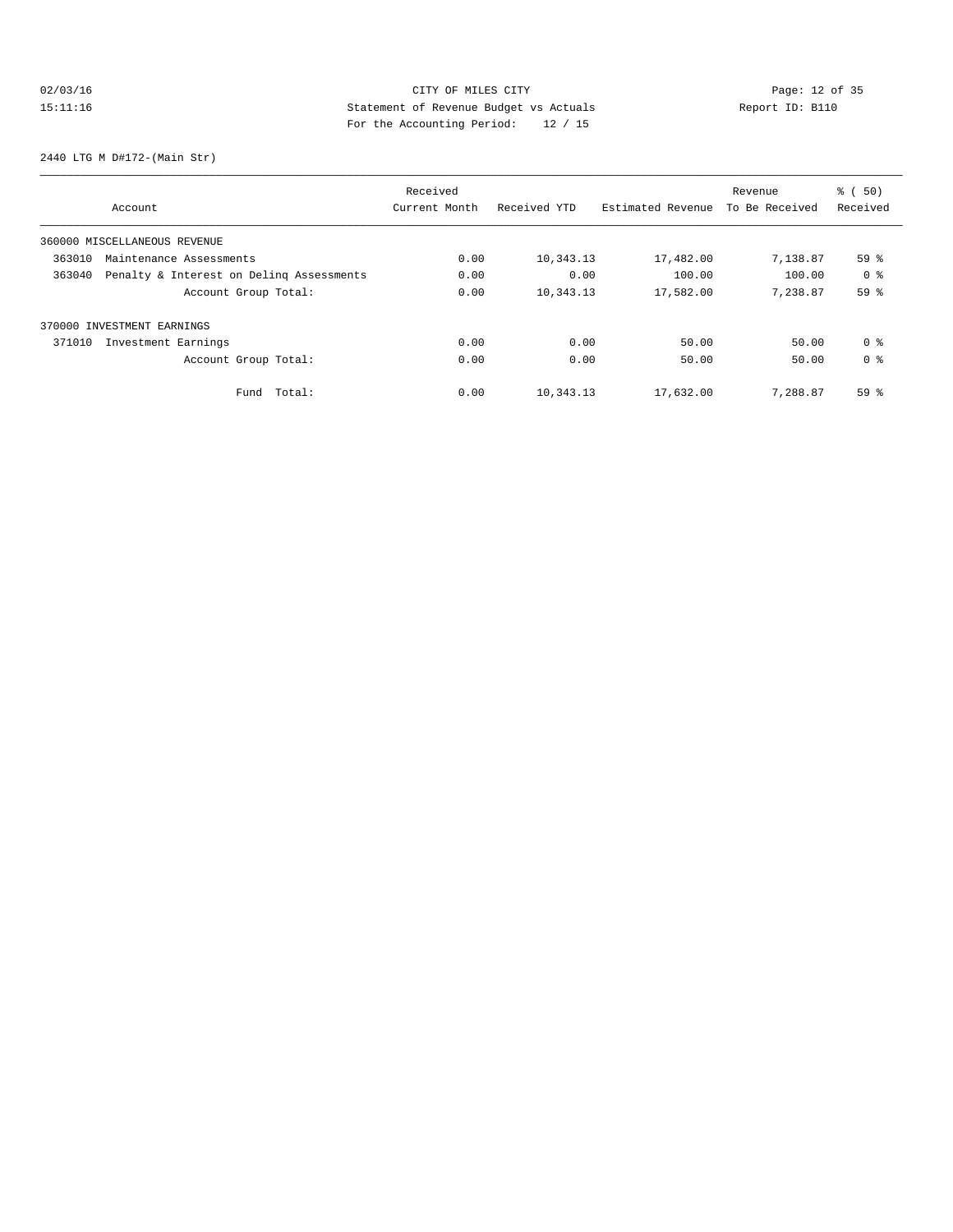# 02/03/16 Page: 12 of 35 15:11:16 Statement of Revenue Budget vs Actuals Report ID: B110<br>Report ID: B110 For the Accounting Period: 12 / 15

2440 LTG M D#172-(Main Str)

|        |                                          | Received      |              |                   | Revenue        | % ( 50)         |
|--------|------------------------------------------|---------------|--------------|-------------------|----------------|-----------------|
|        | Account                                  | Current Month | Received YTD | Estimated Revenue | To Be Received | Received        |
|        | 360000 MISCELLANEOUS REVENUE             |               |              |                   |                |                 |
| 363010 | Maintenance Assessments                  | 0.00          | 10,343.13    | 17,482.00         | 7,138.87       | 59 <sup>8</sup> |
| 363040 | Penalty & Interest on Deling Assessments | 0.00          | 0.00         | 100.00            | 100.00         | 0 <sup>8</sup>  |
|        | Account Group Total:                     | 0.00          | 10,343.13    | 17,582.00         | 7,238.87       | 59%             |
|        | 370000 INVESTMENT EARNINGS               |               |              |                   |                |                 |
| 371010 | Investment Earnings                      | 0.00          | 0.00         | 50.00             | 50.00          | 0 <sup>8</sup>  |
|        | Account Group Total:                     | 0.00          | 0.00         | 50.00             | 50.00          | 0 <sup>8</sup>  |
|        | Total:<br>Fund                           | 0.00          | 10,343.13    | 17,632.00         | 7.288.87       | 59 %            |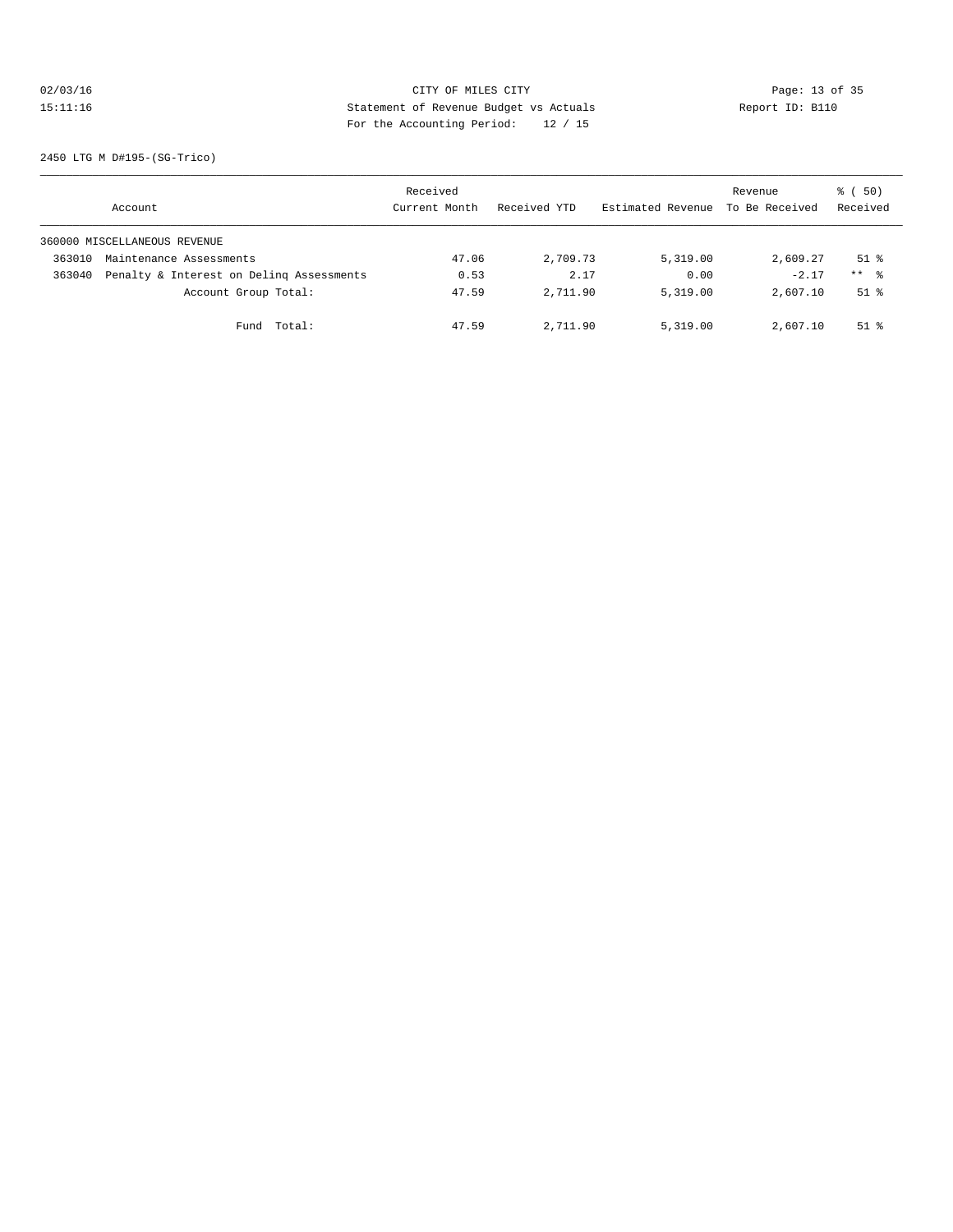# 02/03/16 Page: 13 of 35 15:11:16 Statement of Revenue Budget vs Actuals Report ID: B110 For the Accounting Period: 12 / 15

2450 LTG M D#195-(SG-Trico)

|        | Account                                  | Received<br>Current Month | Received YTD | Estimated Revenue | Revenue<br>To Be Received | 8 ( 50)<br>Received |
|--------|------------------------------------------|---------------------------|--------------|-------------------|---------------------------|---------------------|
|        | 360000 MISCELLANEOUS REVENUE             |                           |              |                   |                           |                     |
| 363010 | Maintenance Assessments                  | 47.06                     | 2,709.73     | 5,319,00          | 2,609.27                  | $51$ $%$            |
| 363040 | Penalty & Interest on Deling Assessments | 0.53                      | 2.17         | 0.00              | $-2.17$                   | $***$ $\approx$     |
|        | Account Group Total:                     | 47.59                     | 2,711.90     | 5,319.00          | 2,607.10                  | $51$ $%$            |
|        | Total:<br>Fund                           | 47.59                     | 2,711.90     | 5,319.00          | 2,607.10                  | $51$ $%$            |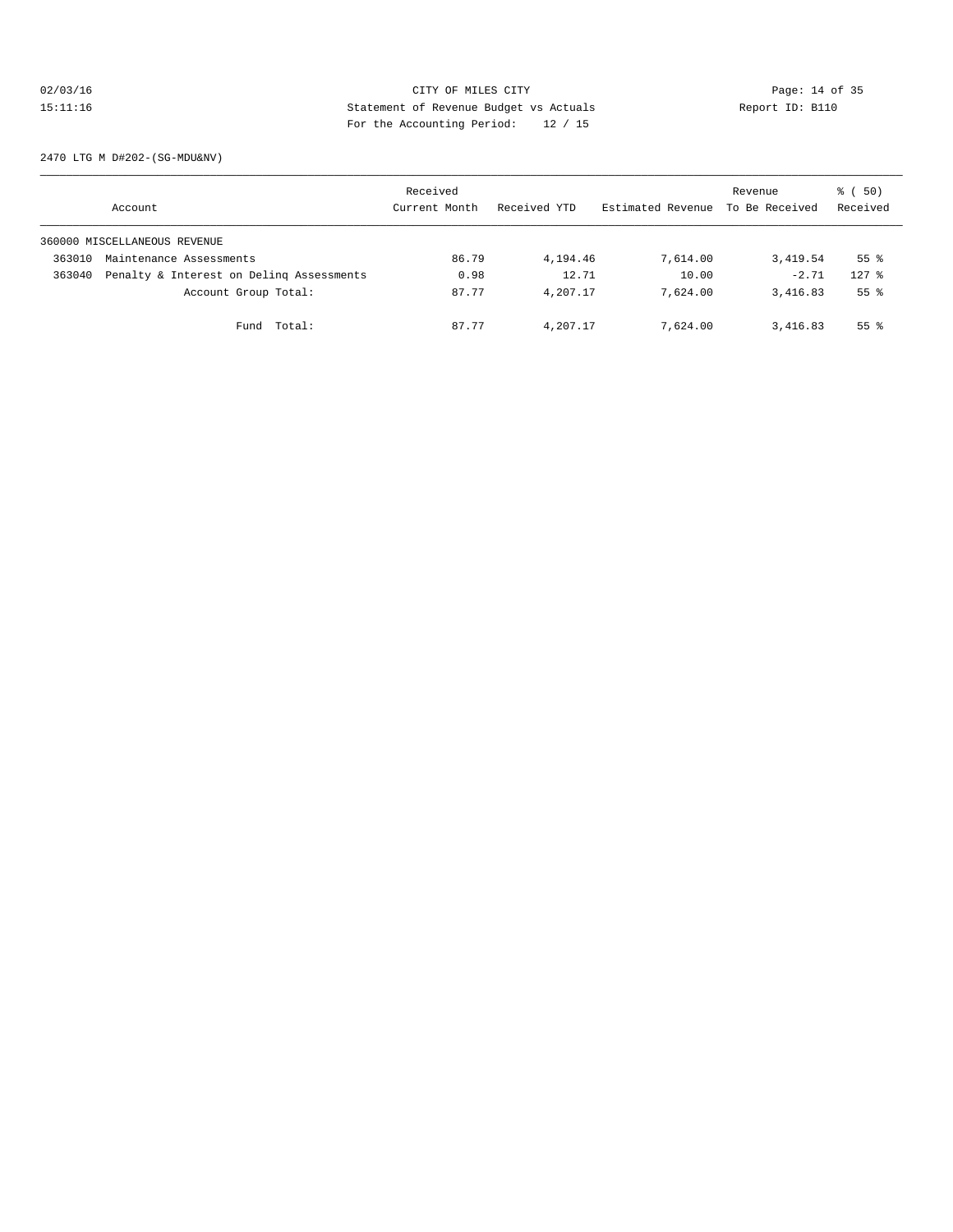# 02/03/16 Page: 14 of 35 15:11:16 Statement of Revenue Budget vs Actuals Report ID: B110 For the Accounting Period: 12 / 15

2470 LTG M D#202-(SG-MDU&NV)

|        | Account                                  | Received<br>Current Month | Received YTD | Estimated Revenue | Revenue<br>To Be Received | 8 ( 50)<br>Received |
|--------|------------------------------------------|---------------------------|--------------|-------------------|---------------------------|---------------------|
|        | 360000 MISCELLANEOUS REVENUE             |                           |              |                   |                           |                     |
| 363010 | Maintenance Assessments                  | 86.79                     | 4,194.46     | 7,614.00          | 3,419.54                  | $55$ $\frac{6}{3}$  |
| 363040 | Penalty & Interest on Deling Assessments | 0.98                      | 12.71        | 10.00             | $-2.71$                   | $127$ $%$           |
|        | Account Group Total:                     | 87.77                     | 4,207.17     | 7,624.00          | 3,416.83                  | $55$ $\frac{6}{3}$  |
|        | Total:<br>Fund                           | 87.77                     | 4,207.17     | 7,624.00          | 3,416.83                  | $55$ $\frac{6}{3}$  |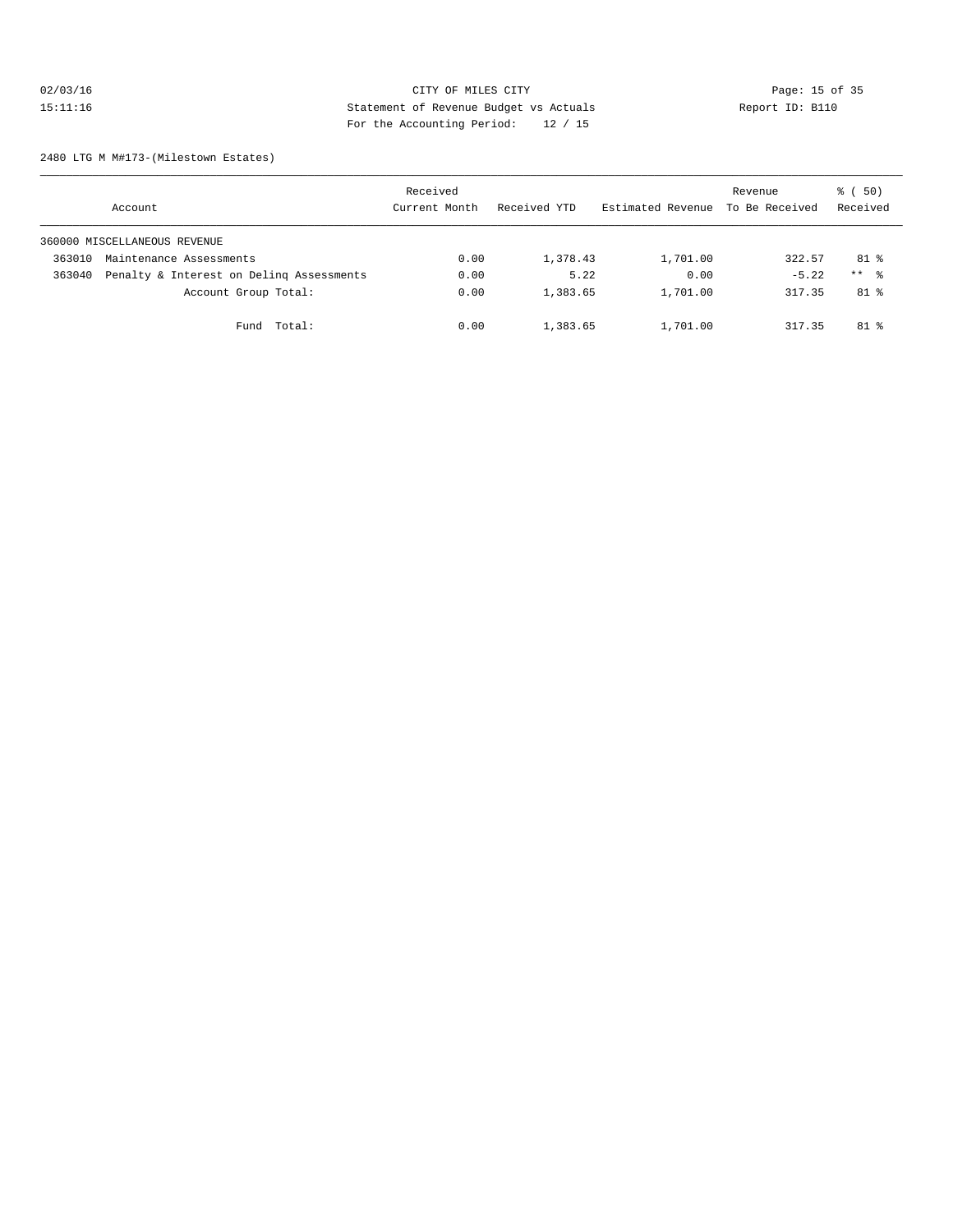# 02/03/16 Page: 15 of 35 15:11:16 Statement of Revenue Budget vs Actuals Report ID: B110 For the Accounting Period: 12 / 15

2480 LTG M M#173-(Milestown Estates)

|        | Account                                  | Received<br>Current Month | Received YTD | Estimated Revenue | Revenue<br>To Be Received | 8 ( 50)<br>Received |
|--------|------------------------------------------|---------------------------|--------------|-------------------|---------------------------|---------------------|
|        | 360000 MISCELLANEOUS REVENUE             |                           |              |                   |                           |                     |
| 363010 | Maintenance Assessments                  | 0.00                      | 1,378.43     | 1,701.00          | 322.57                    | 81 %                |
| 363040 | Penalty & Interest on Deling Assessments | 0.00                      | 5.22         | 0.00              | $-5.22$                   | $***$ $\approx$     |
|        | Account Group Total:                     | 0.00                      | 1,383.65     | 1,701.00          | 317.35                    | 81 %                |
|        | Fund Total:                              | 0.00                      | 1,383.65     | 1,701.00          | 317.35                    | $81$ %              |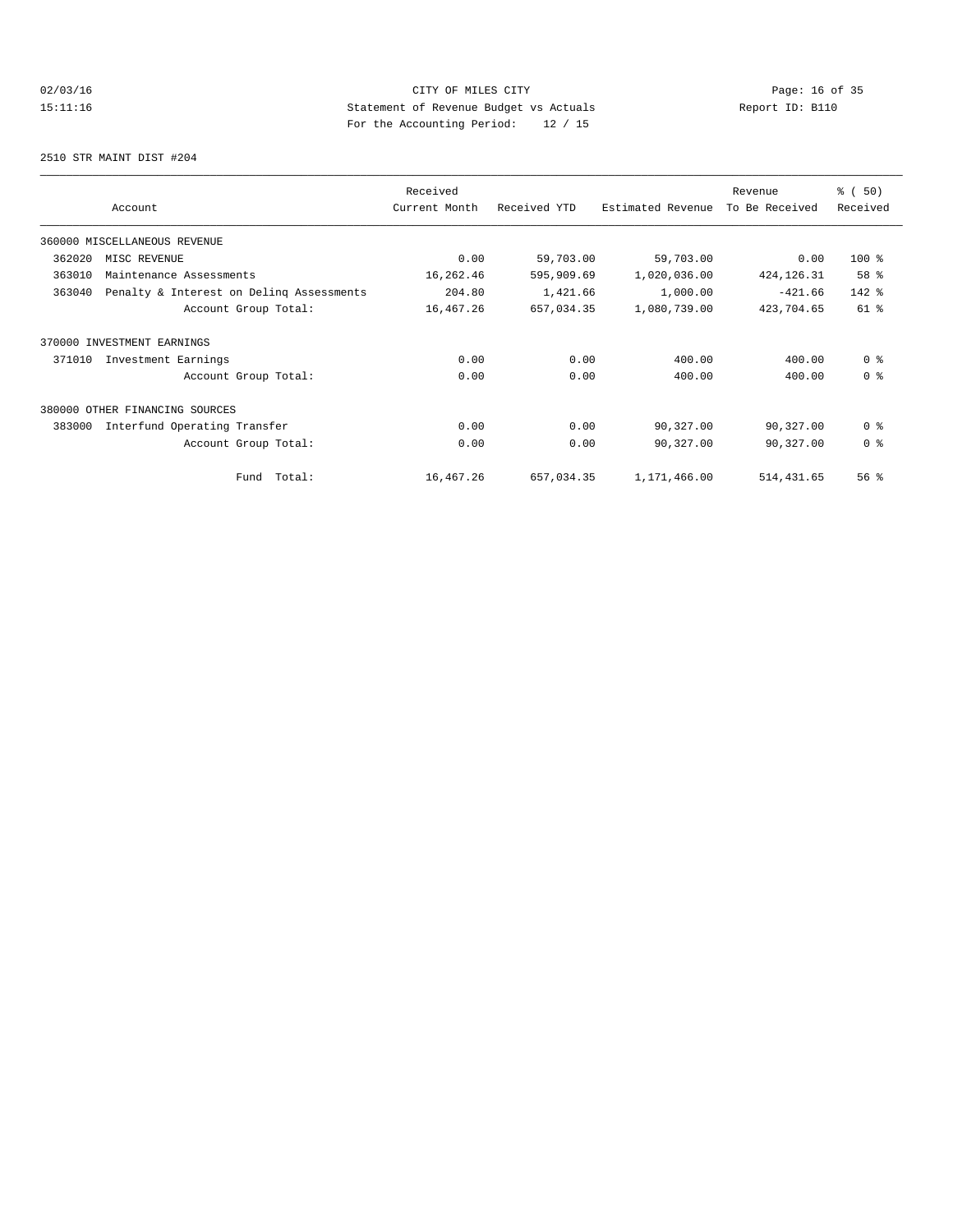# 02/03/16 Page: 16 of 35<br>
OF MILES CITY OF MILES CITY Page: 16 of 35<br>
Statement of Revenue Budget vs Actuals<br>
Position Position Position Position (19, 15 15:11:16 Statement of Revenue Budget vs Actuals Report ID: B110 For the Accounting Period: 12 / 15

2510 STR MAINT DIST #204

|        |                                          | Received      |              |                   | Revenue        | % (50)         |
|--------|------------------------------------------|---------------|--------------|-------------------|----------------|----------------|
|        | Account                                  | Current Month | Received YTD | Estimated Revenue | To Be Received | Received       |
|        | 360000 MISCELLANEOUS REVENUE             |               |              |                   |                |                |
| 362020 | MISC REVENUE                             | 0.00          | 59,703.00    | 59,703.00         | 0.00           | $100*$         |
| 363010 | Maintenance Assessments                  | 16,262.46     | 595,909.69   | 1,020,036.00      | 424, 126. 31   | 58 %           |
| 363040 | Penalty & Interest on Deling Assessments | 204.80        | 1,421.66     | 1,000.00          | $-421.66$      | 142 %          |
|        | Account Group Total:                     | 16,467.26     | 657,034.35   | 1,080,739.00      | 423,704.65     | 61 %           |
|        | 370000 INVESTMENT EARNINGS               |               |              |                   |                |                |
| 371010 | Investment Earnings                      | 0.00          | 0.00         | 400.00            | 400.00         | 0 <sup>8</sup> |
|        | Account Group Total:                     | 0.00          | 0.00         | 400.00            | 400.00         | 0 <sup>8</sup> |
| 380000 | OTHER FINANCING SOURCES                  |               |              |                   |                |                |
| 383000 | Interfund Operating Transfer             | 0.00          | 0.00         | 90,327.00         | 90,327.00      | 0 <sup>8</sup> |
|        | Account Group Total:                     | 0.00          | 0.00         | 90,327.00         | 90,327.00      | 0 <sup>8</sup> |
|        | Total:<br>Fund                           | 16,467.26     | 657,034.35   | 1,171,466.00      | 514, 431.65    | 56%            |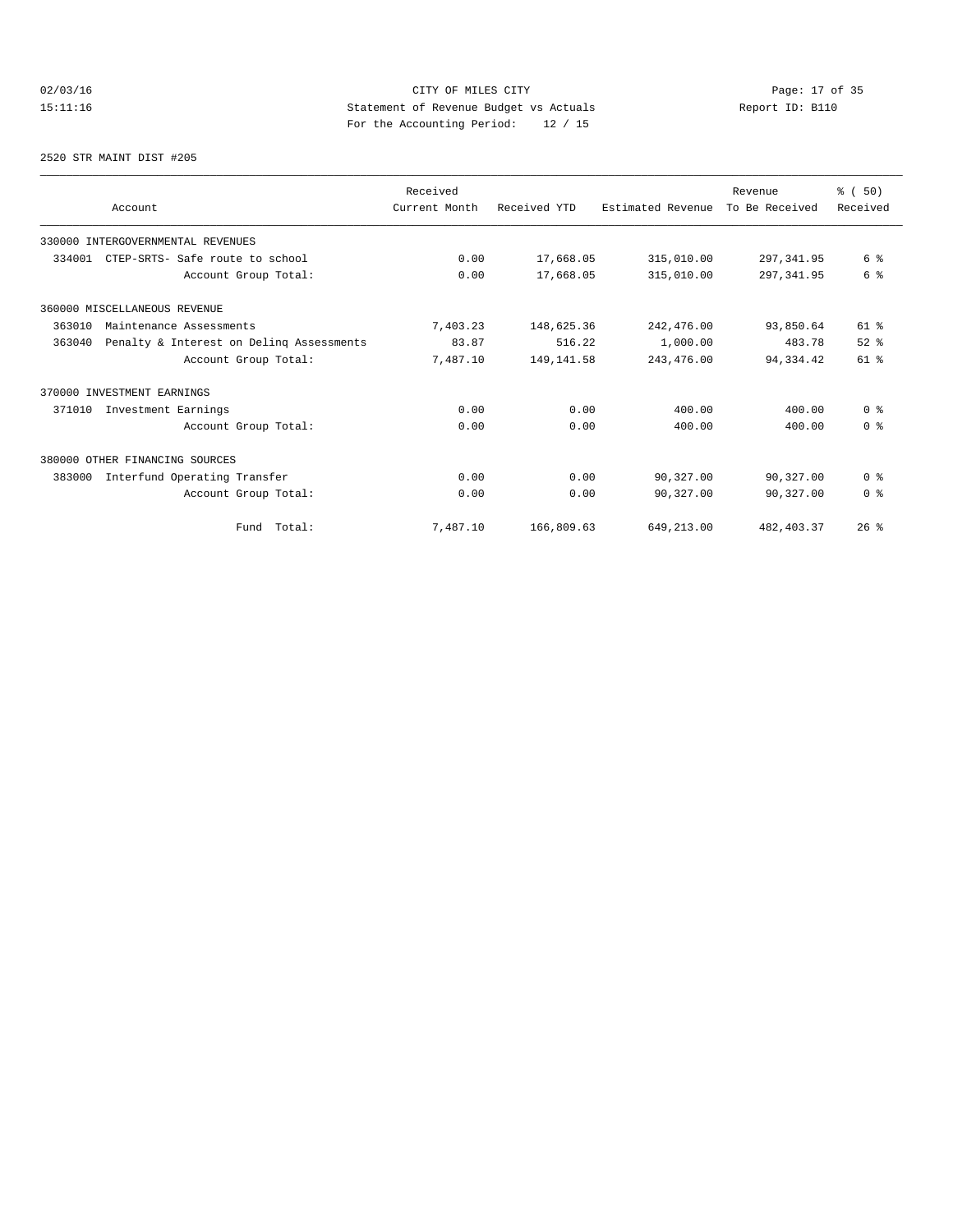# 02/03/16 Page: 17 of 35 15:11:16 Statement of Revenue Budget vs Actuals Report ID: B110<br>Report ID: B110 For the Accounting Period: 12 / 15

#### 2520 STR MAINT DIST #205

| Account                                            | Received<br>Current Month | Received YTD | Estimated Revenue | Revenue<br>To Be Received | % (50)<br>Received      |
|----------------------------------------------------|---------------------------|--------------|-------------------|---------------------------|-------------------------|
|                                                    |                           |              |                   |                           |                         |
| 330000 INTERGOVERNMENTAL REVENUES                  |                           |              |                   |                           |                         |
| 334001<br>CTEP-SRTS- Safe route to school          | 0.00                      | 17,668.05    | 315,010.00        | 297, 341.95               | 6 %                     |
| Account Group Total:                               | 0.00                      | 17,668.05    | 315,010.00        | 297, 341.95               | 6 %                     |
| 360000 MISCELLANEOUS REVENUE                       |                           |              |                   |                           |                         |
| 363010<br>Maintenance Assessments                  | 7,403.23                  | 148,625.36   | 242,476.00        | 93,850.64                 | $61$ %                  |
| Penalty & Interest on Deling Assessments<br>363040 | 83.87                     | 516.22       | 1,000.00          | 483.78                    | $52$ $%$                |
| Account Group Total:                               | 7,487.10                  | 149, 141.58  | 243, 476.00       | 94,334.42                 | $61$ %                  |
| 370000 INVESTMENT EARNINGS                         |                           |              |                   |                           |                         |
| 371010<br>Investment Earnings                      | 0.00                      | 0.00         | 400.00            | 400.00                    | 0 <sup>8</sup>          |
| Account Group Total:                               | 0.00                      | 0.00         | 400.00            | 400.00                    | 0 <sup>8</sup>          |
| 380000 OTHER FINANCING SOURCES                     |                           |              |                   |                           |                         |
| Interfund Operating Transfer<br>383000             | 0.00                      | 0.00         | 90,327.00         | 90,327.00                 | 0 <sup>8</sup>          |
| Account Group Total:                               | 0.00                      | 0.00         | 90,327.00         | 90,327.00                 | $0 \text{ }$ $\text{ }$ |
| Fund Total:                                        | 7,487.10                  | 166,809.63   | 649,213.00        | 482, 403.37               | 26%                     |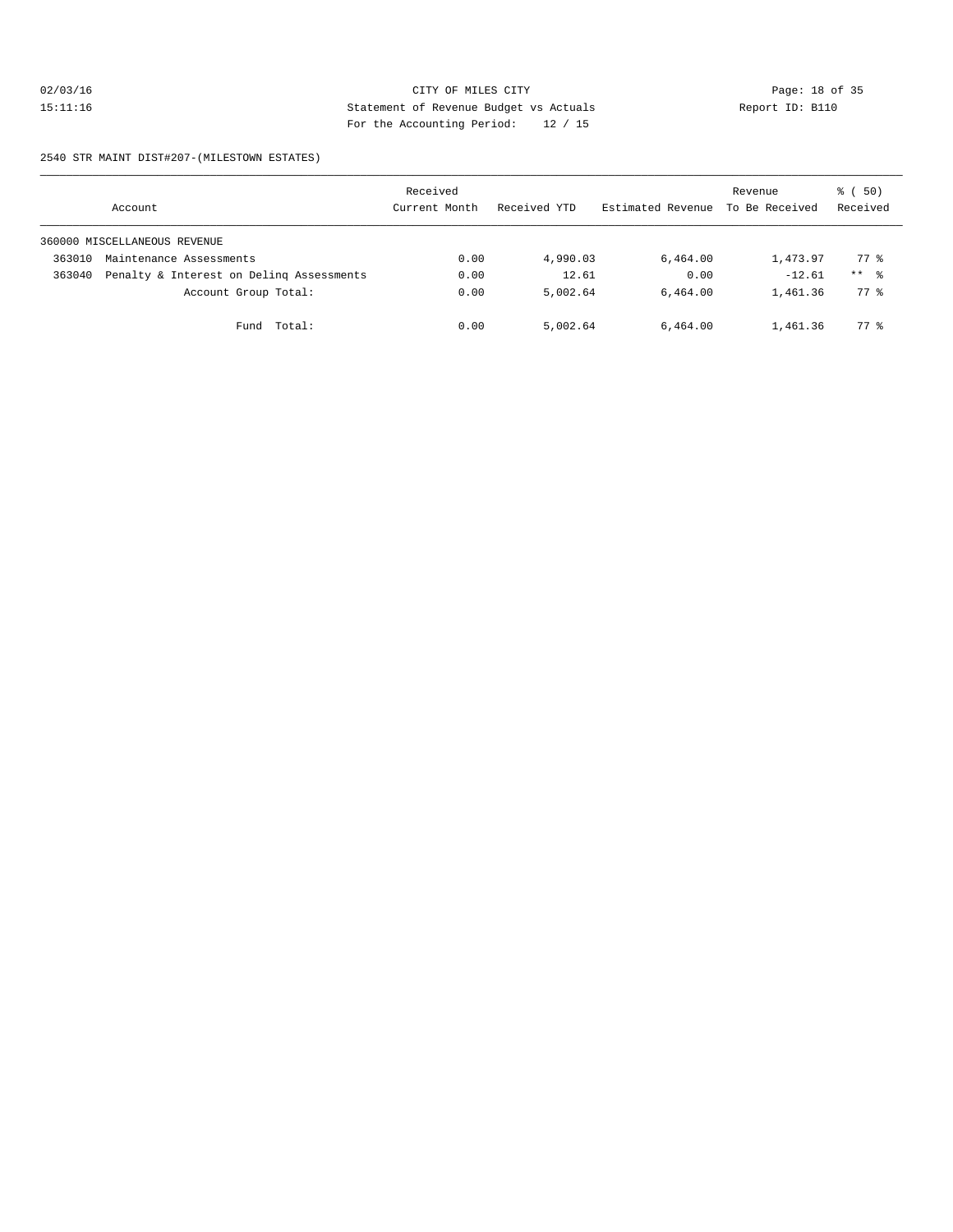# 02/03/16 Page: 18 of 35 15:11:16 Statement of Revenue Budget vs Actuals Report ID: B110 For the Accounting Period: 12 / 15

#### 2540 STR MAINT DIST#207-(MILESTOWN ESTATES)

|        | Account                                  | Received<br>Current Month | Received YTD | Estimated Revenue | Revenue<br>To Be Received | 8 ( 50)<br>Received |
|--------|------------------------------------------|---------------------------|--------------|-------------------|---------------------------|---------------------|
|        | 360000 MISCELLANEOUS REVENUE             |                           |              |                   |                           |                     |
| 363010 | Maintenance Assessments                  | 0.00                      | 4,990.03     | 6,464.00          | 1,473.97                  | 77.8                |
| 363040 | Penalty & Interest on Deling Assessments | 0.00                      | 12.61        | 0.00              | $-12.61$                  | $***$ %             |
|        | Account Group Total:                     | 0.00                      | 5,002.64     | 6.464.00          | 1,461.36                  | $77*$               |
|        | Fund Total:                              | 0.00                      | 5,002.64     | 6,464.00          | 1,461.36                  | $77*$               |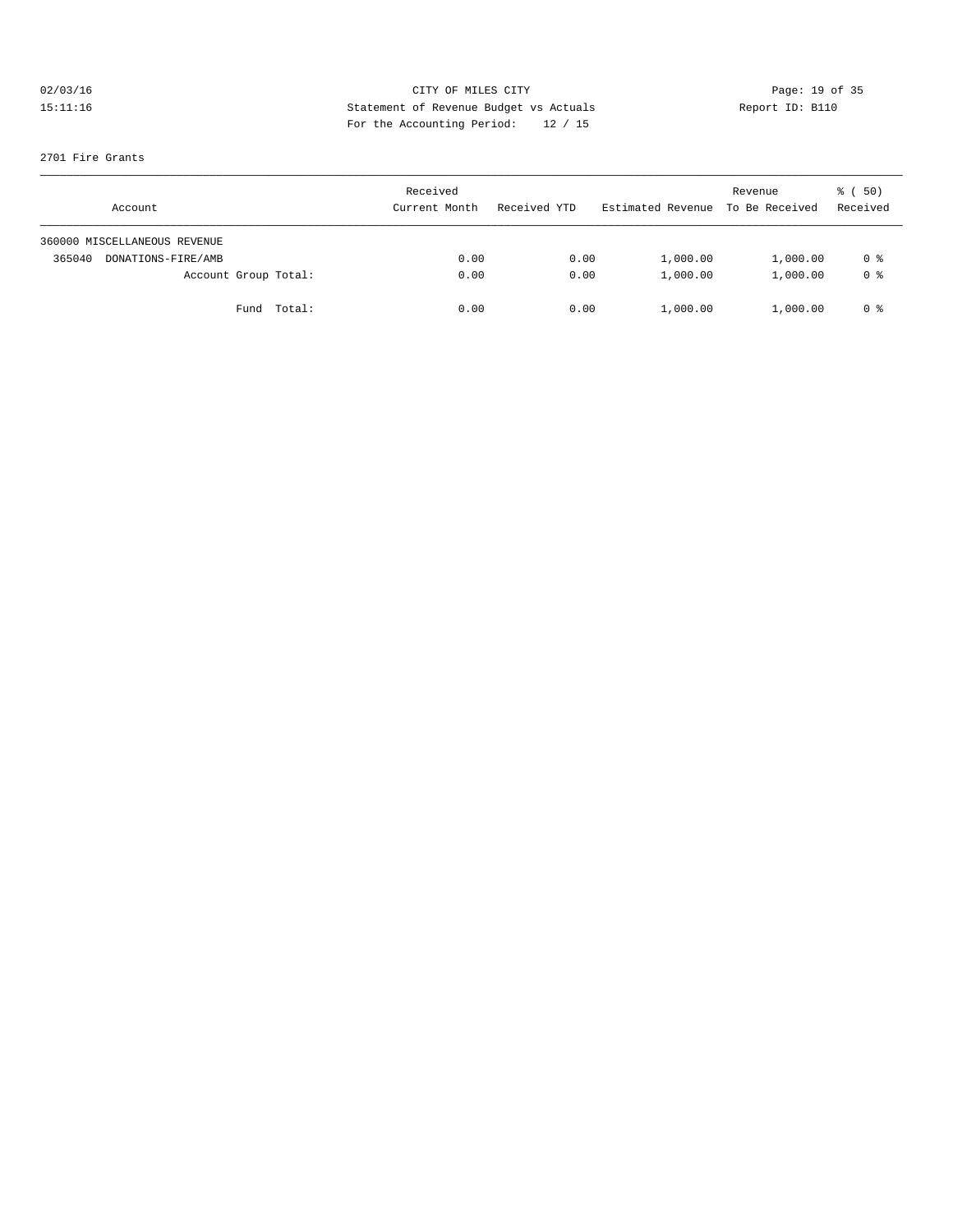# 02/03/16 CITY OF MILES CITY<br>15:11:16 Development of Revenue Budget vs Actuals<br>2004 Terms the New Motor Development of Actuals<br>2006 Terms the New Motor Development of Actual Section 2006 2016 15:11:16 Statement of Revenue Budget vs Actuals Report ID: B110 For the Accounting Period: 12 / 15

#### 2701 Fire Grants

| Account                      | Received<br>Current Month | Received YTD | Estimated Revenue To Be Received | Revenue  | ៖ (50)<br>Received |
|------------------------------|---------------------------|--------------|----------------------------------|----------|--------------------|
| 360000 MISCELLANEOUS REVENUE |                           |              |                                  |          |                    |
| 365040<br>DONATIONS-FIRE/AMB | 0.00                      | 0.00         | 1,000.00                         | 1,000.00 | 0 %                |
| Account Group Total:         | 0.00                      | 0.00         | 1,000.00                         | 1,000.00 | 0 <sup>8</sup>     |
| Fund Total:                  | 0.00                      | 0.00         | 1,000.00                         | 1,000.00 | 0 %                |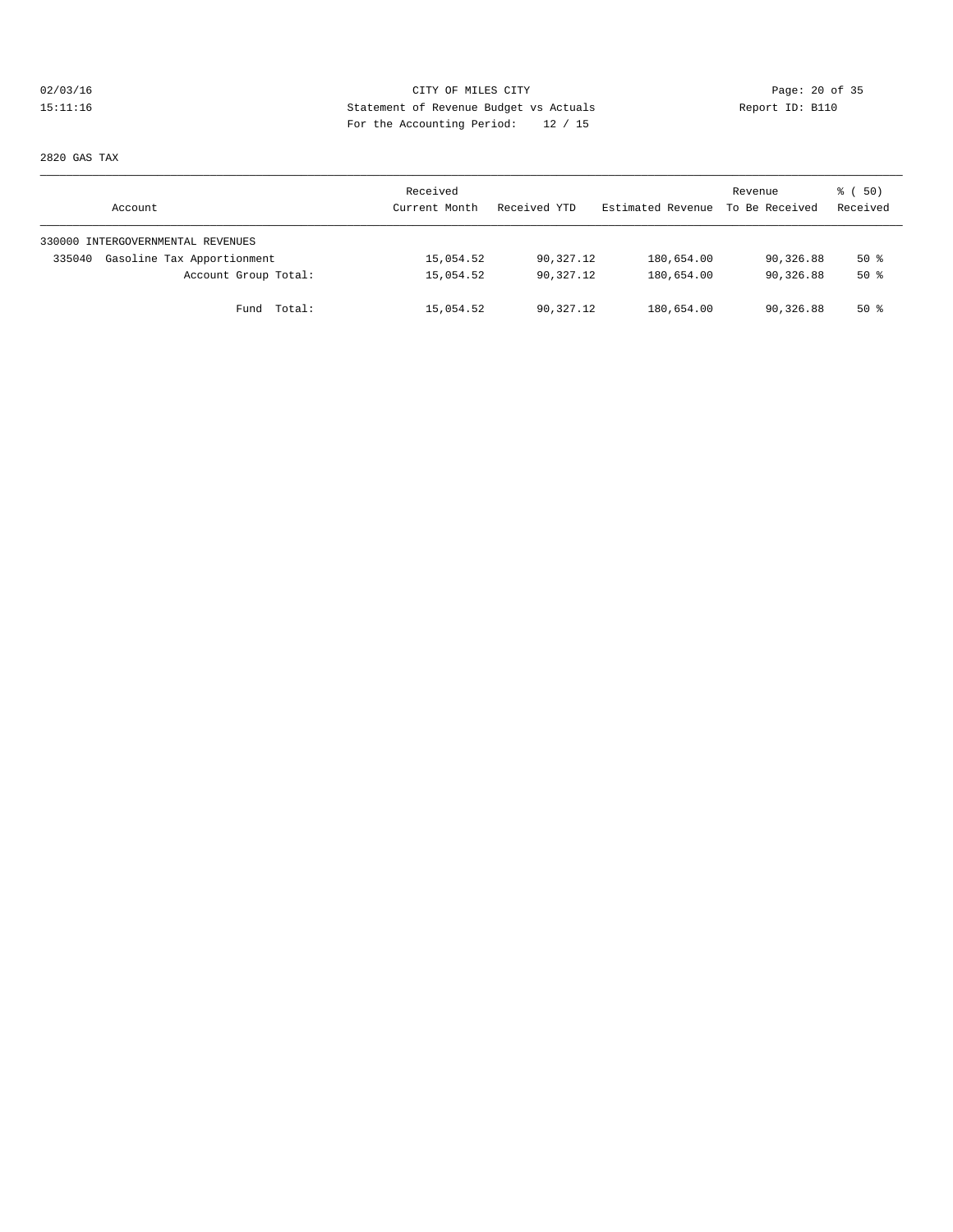# 02/03/16 Page: 20 of 35 15:11:16 Statement of Revenue Budget vs Actuals Report ID: B110 For the Accounting Period: 12 / 15

2820 GAS TAX

| Account                              | Received<br>Current Month | Received YTD | Estimated Revenue | Revenue<br>To Be Received | 8 ( 50)<br>Received |
|--------------------------------------|---------------------------|--------------|-------------------|---------------------------|---------------------|
| 330000 INTERGOVERNMENTAL REVENUES    |                           |              |                   |                           |                     |
| Gasoline Tax Apportionment<br>335040 | 15,054.52                 | 90,327.12    | 180,654.00        | 90,326.88                 | 50%                 |
| Account Group Total:                 | 15,054.52                 | 90,327.12    | 180,654.00        | 90,326.88                 | 50%                 |
| Fund Total:                          | 15,054.52                 | 90,327.12    | 180,654.00        | 90,326.88                 | $50*$               |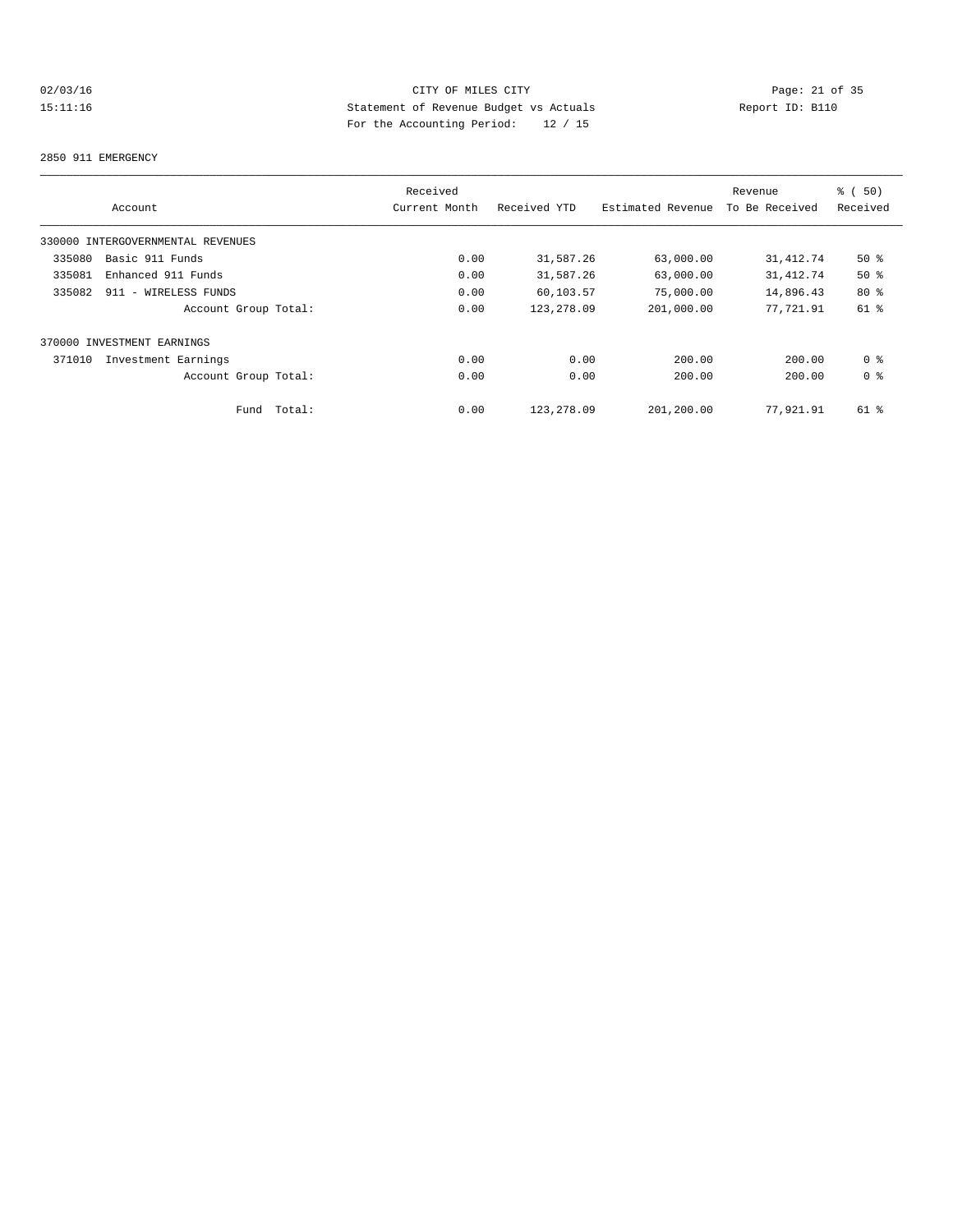# 02/03/16 Page: 21 of 35<br>
DES CITY OF MILES CITY PARTIES CITY Page: 21 of 35<br>
Statement of Revenue Budget vs Actuals<br>
Por the Accounting Positel (10 / 15 15:11:16 Statement of Revenue Budget vs Actuals Report ID: B110 For the Accounting Period: 12 / 15

#### 2850 911 EMERGENCY

|        |                                   |        | Received      |              |                   | Revenue        | 8 ( 50)        |
|--------|-----------------------------------|--------|---------------|--------------|-------------------|----------------|----------------|
|        | Account                           |        | Current Month | Received YTD | Estimated Revenue | To Be Received | Received       |
|        | 330000 INTERGOVERNMENTAL REVENUES |        |               |              |                   |                |                |
| 335080 | Basic 911 Funds                   |        | 0.00          | 31,587.26    | 63,000.00         | 31, 412.74     | $50*$          |
| 335081 | Enhanced 911 Funds                |        | 0.00          | 31,587.26    | 63,000.00         | 31, 412.74     | $50*$          |
| 335082 | 911 - WIRELESS FUNDS              |        | 0.00          | 60,103.57    | 75,000.00         | 14,896.43      | $80*$          |
|        | Account Group Total:              |        | 0.00          | 123,278.09   | 201,000.00        | 77,721.91      | 61 %           |
|        | 370000 INVESTMENT EARNINGS        |        |               |              |                   |                |                |
| 371010 | Investment Earnings               |        | 0.00          | 0.00         | 200.00            | 200.00         | 0 <sup>8</sup> |
|        | Account Group Total:              |        | 0.00          | 0.00         | 200.00            | 200.00         | 0 <sup>8</sup> |
|        | Fund                              | Total: | 0.00          | 123, 278, 09 | 201,200.00        | 77,921.91      | 61 %           |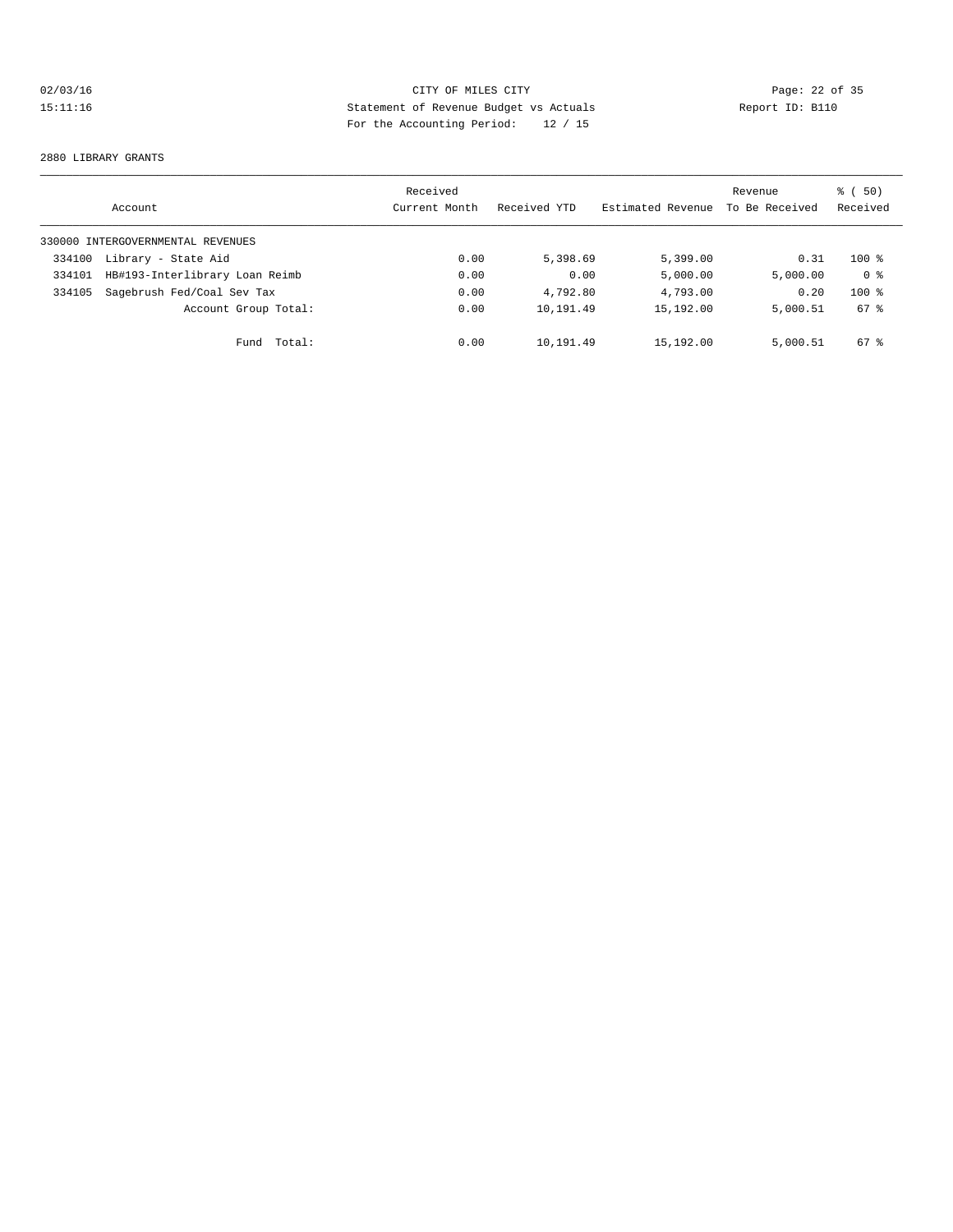# 02/03/16 Page: 22 of 35<br>
DES CITY OF MILES CITY PARTIES CITY Page: 22 of 35<br>
Statement of Revenue Budget vs Actuals<br>
Por the Accounting Positel (10 / 15 15:11:16 Statement of Revenue Budget vs Actuals Report ID: B110 For the Accounting Period: 12 / 15

#### 2880 LIBRARY GRANTS

|        | Account                           | Received<br>Current Month | Received YTD | Estimated Revenue | Revenue<br>To Be Received | ී (<br>(50)<br>Received |
|--------|-----------------------------------|---------------------------|--------------|-------------------|---------------------------|-------------------------|
|        | 330000 INTERGOVERNMENTAL REVENUES |                           |              |                   |                           |                         |
| 334100 | Library - State Aid               | 0.00                      | 5,398.69     | 5,399.00          | 0.31                      | $100*$                  |
| 334101 | HB#193-Interlibrary Loan Reimb    | 0.00                      | 0.00         | 5,000.00          | 5,000.00                  | 0 <sup>8</sup>          |
| 334105 | Sagebrush Fed/Coal Sev Tax        | 0.00                      | 4,792.80     | 4,793.00          | 0.20                      | $100*$                  |
|        | Account Group Total:              | 0.00                      | 10,191.49    | 15,192.00         | 5,000.51                  | 67 %                    |
|        | Total:<br>Fund                    | 0.00                      | 10,191.49    | 15,192.00         | 5,000.51                  | 67 %                    |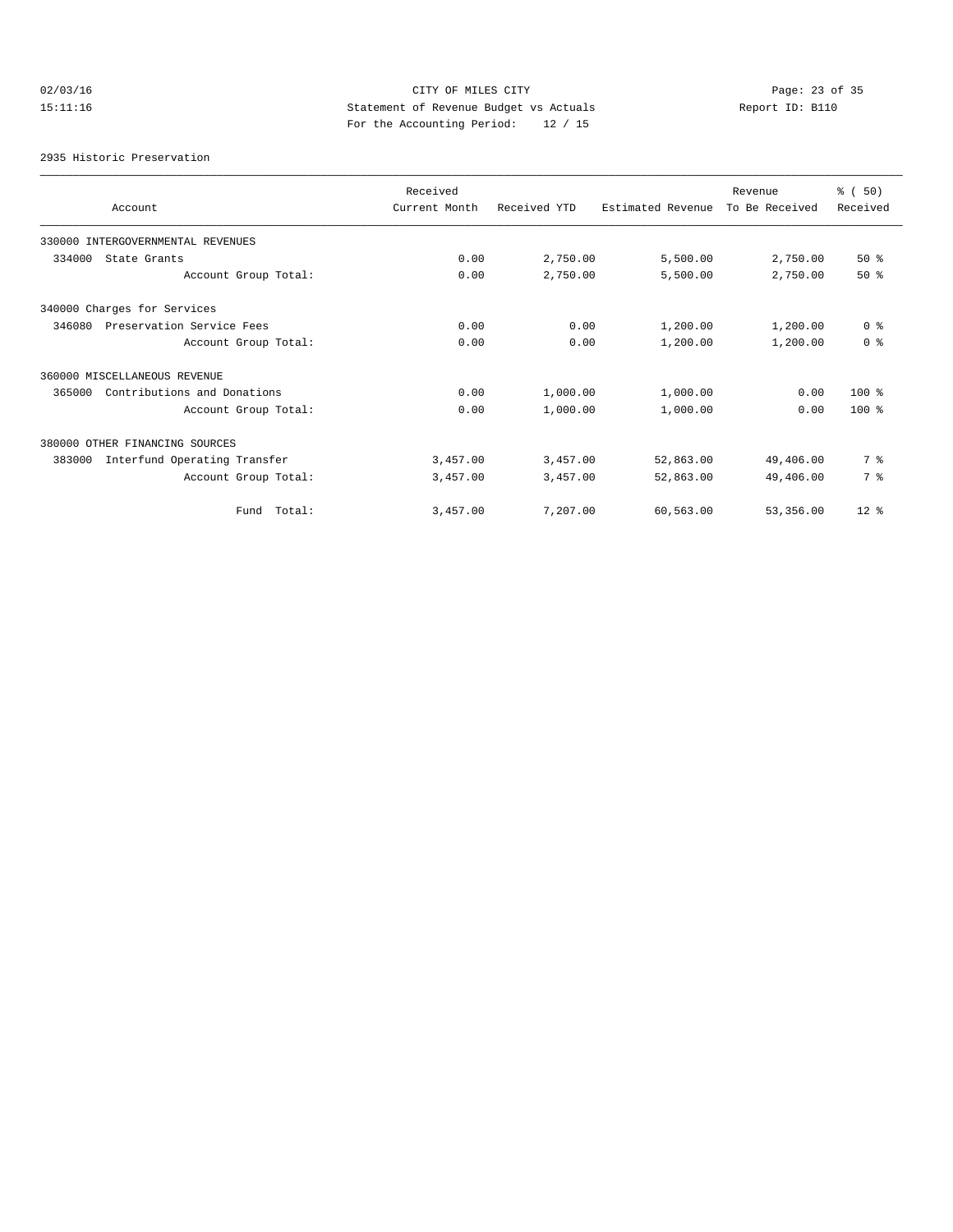# 02/03/16 Page: 23 of 35<br>
DES CITY OF MILES CITY PARTIES CITY Page: 23 of 35<br>
Statement of Revenue Budget vs Actuals<br>
Parties New York Constants and the New York Constants and the New York Constants and the New York Constan 15:11:16 Statement of Revenue Budget vs Actuals Report ID: B110 For the Accounting Period: 12 / 15

2935 Historic Preservation

|                                        | Received      |              |                   | Revenue        | % (50)         |
|----------------------------------------|---------------|--------------|-------------------|----------------|----------------|
| Account                                | Current Month | Received YTD | Estimated Revenue | To Be Received | Received       |
| 330000 INTERGOVERNMENTAL REVENUES      |               |              |                   |                |                |
| 334000<br>State Grants                 | 0.00          | 2,750.00     | 5,500.00          | 2,750.00       | 50%            |
| Account Group Total:                   | 0.00          | 2,750.00     | 5,500.00          | 2,750.00       | 50%            |
| 340000 Charges for Services            |               |              |                   |                |                |
| Preservation Service Fees<br>346080    | 0.00          | 0.00         | 1,200.00          | 1,200.00       | 0 <sup>8</sup> |
| Account Group Total:                   | 0.00          | 0.00         | 1,200.00          | 1,200.00       | 0 <sup>8</sup> |
| 360000 MISCELLANEOUS REVENUE           |               |              |                   |                |                |
| Contributions and Donations<br>365000  | 0.00          | 1,000.00     | 1,000.00          | 0.00           | $100*$         |
| Account Group Total:                   | 0.00          | 1,000.00     | 1,000.00          | 0.00           | $100*$         |
| 380000 OTHER FINANCING SOURCES         |               |              |                   |                |                |
| Interfund Operating Transfer<br>383000 | 3,457.00      | 3,457.00     | 52,863.00         | 49,406.00      | 7 %            |
| Account Group Total:                   | 3,457.00      | 3,457.00     | 52,863.00         | 49,406.00      | 7 %            |
| Fund Total:                            | 3,457.00      | 7,207.00     | 60,563.00         | 53,356.00      | $12*$          |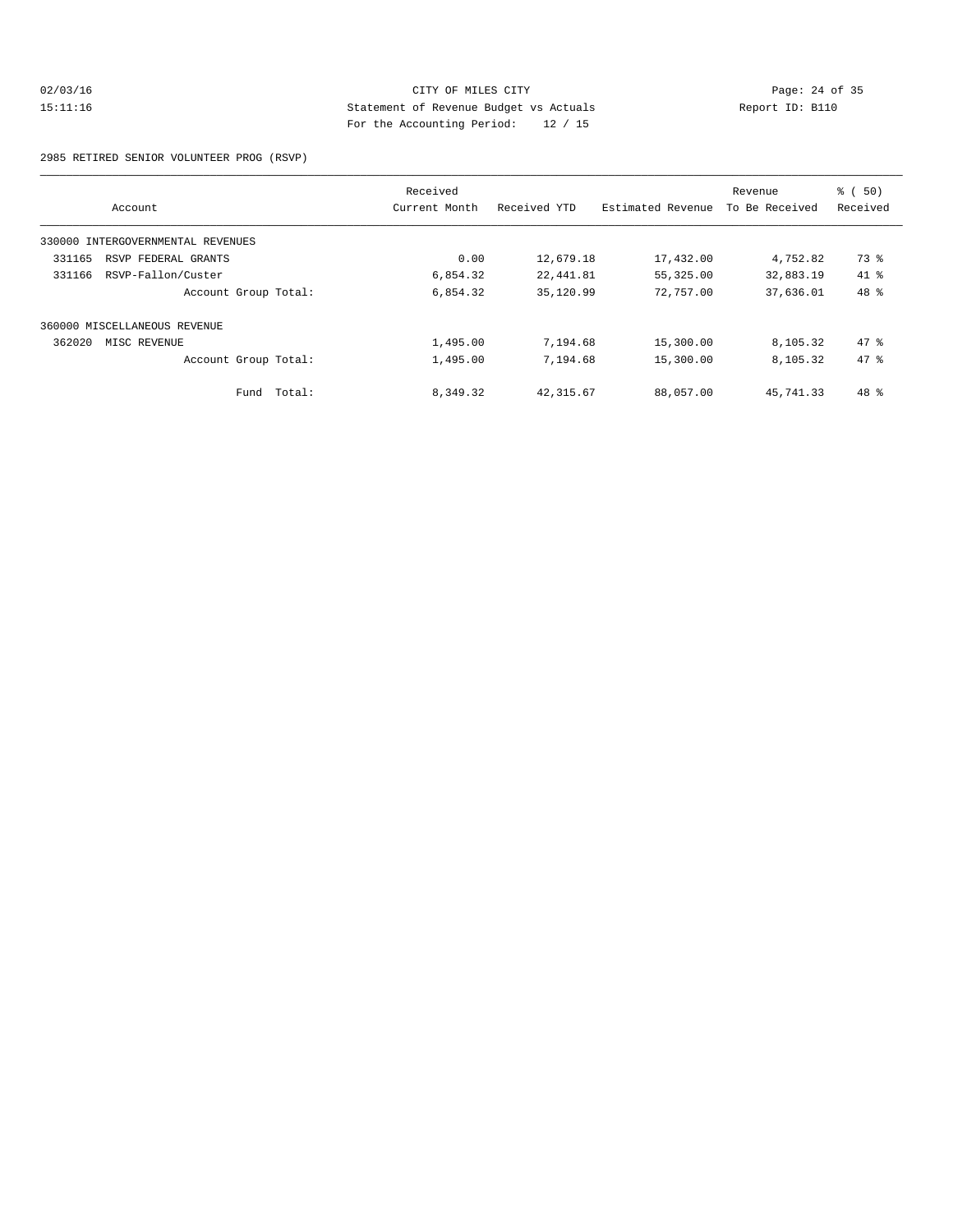# 02/03/16 Page: 24 of 35 15:11:16 Statement of Revenue Budget vs Actuals Report ID: B110 For the Accounting Period: 12 / 15

2985 RETIRED SENIOR VOLUNTEER PROG (RSVP)

|                                   | Received      |              |                   | Revenue        | % ( 50)  |
|-----------------------------------|---------------|--------------|-------------------|----------------|----------|
| Account                           | Current Month | Received YTD | Estimated Revenue | To Be Received | Received |
| 330000 INTERGOVERNMENTAL REVENUES |               |              |                   |                |          |
| 331165<br>RSVP FEDERAL GRANTS     | 0.00          | 12,679.18    | 17,432.00         | 4,752.82       | 73 %     |
| RSVP-Fallon/Custer<br>331166      | 6,854.32      | 22,441.81    | 55,325.00         | 32,883.19      | $41*$    |
| Account Group Total:              | 6,854.32      | 35,120.99    | 72,757.00         | 37,636.01      | 48 %     |
| 360000 MISCELLANEOUS REVENUE      |               |              |                   |                |          |
| 362020<br>MISC REVENUE            | 1,495.00      | 7,194.68     | 15,300.00         | 8,105.32       | 47.8     |
| Account Group Total:              | 1,495.00      | 7,194.68     | 15,300.00         | 8,105.32       | 47.8     |
| Fund Total:                       | 8,349.32      | 42, 315.67   | 88,057.00         | 45, 741, 33    | 48 %     |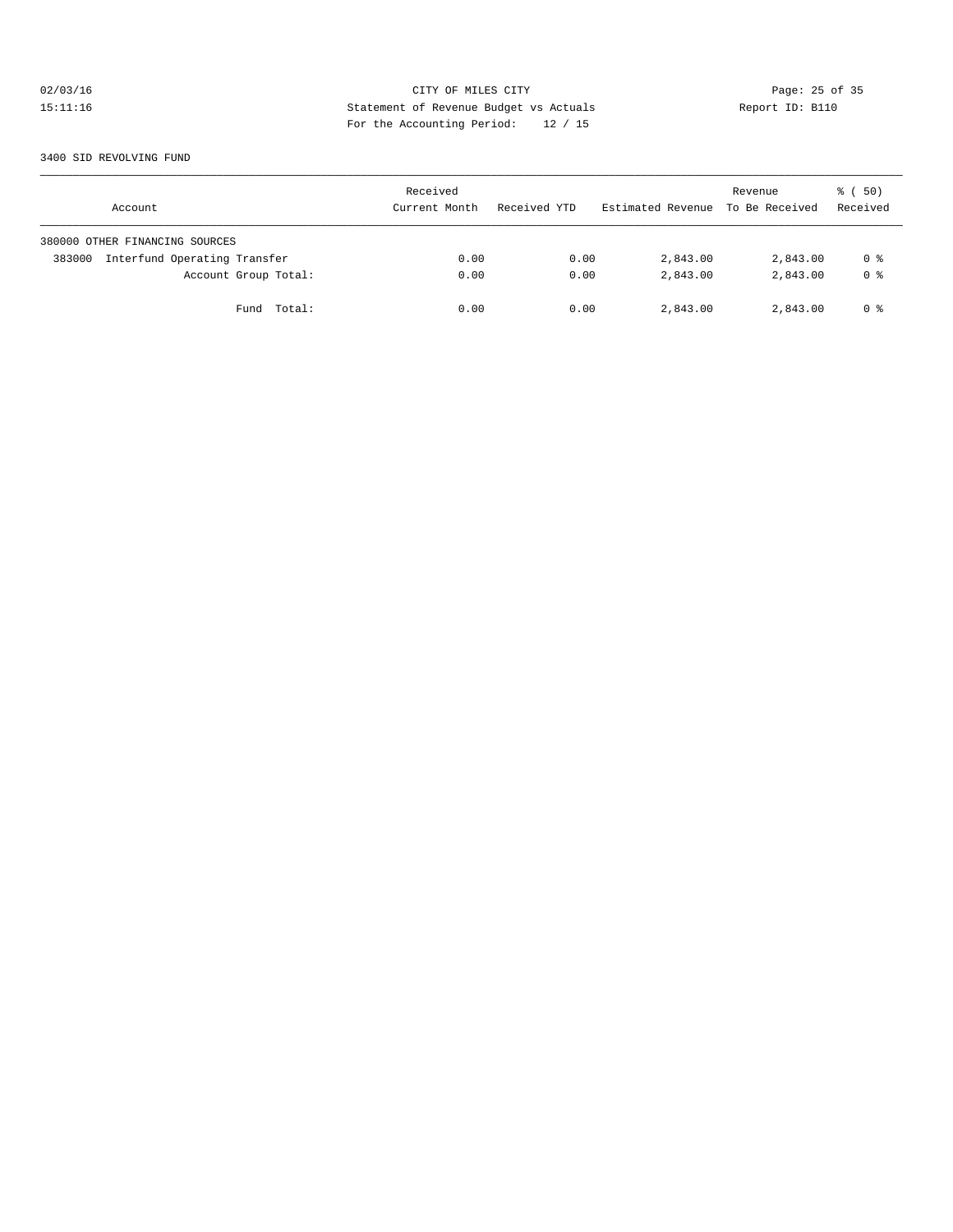# 02/03/16 Page: 25 of 35<br>
DES CITY OF MILES CITY ACTUAL PROPERTY Page: 25 of 35<br>
DES A SERVICE PROPERTY ACTES ACTES AND REPORT ID: B110 15:11:16 Statement of Revenue Budget vs Actuals Report ID: B110 For the Accounting Period: 12 / 15

3400 SID REVOLVING FUND

| Account                                | Received<br>Current Month | Received YTD | Estimated Revenue To Be Received | Revenue  | 8 ( 50)<br>Received |
|----------------------------------------|---------------------------|--------------|----------------------------------|----------|---------------------|
| 380000 OTHER FINANCING SOURCES         |                           |              |                                  |          |                     |
| Interfund Operating Transfer<br>383000 | 0.00                      | 0.00         | 2,843.00                         | 2,843.00 | 0 %                 |
| Account Group Total:                   | 0.00                      | 0.00         | 2,843.00                         | 2,843.00 | 0 <sup>8</sup>      |
| Fund Total:                            | 0.00                      | 0.00         | 2,843.00                         | 2,843.00 | 0 %                 |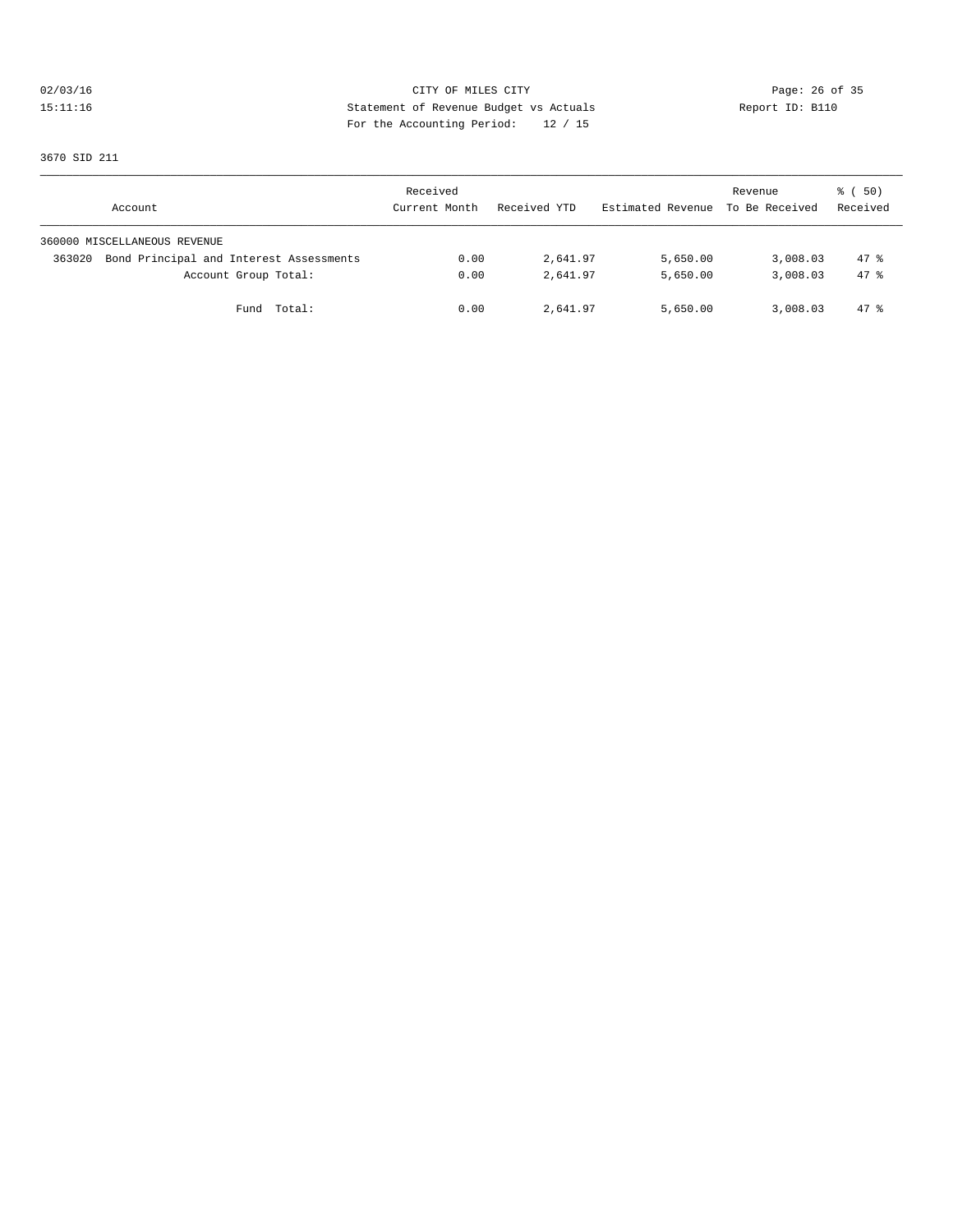02/03/16 CITY OF MILES CITY<br>15:11:16 Page: 26 of 35<br>15:11:16 Page: 26 of 35<br>16:11:16 Page: 26 of 35<br>20:21:22 Page: 26 of 35 15:11:16 Statement of Revenue Budget vs Actuals Report ID: B110 For the Accounting Period: 12 / 15

3670 SID 211

| Account                                           | Received<br>Current Month | Received YTD | Estimated Revenue | Revenue<br>To Be Received | 8 ( 50)<br>Received |
|---------------------------------------------------|---------------------------|--------------|-------------------|---------------------------|---------------------|
| 360000 MISCELLANEOUS REVENUE                      |                           |              |                   |                           |                     |
| Bond Principal and Interest Assessments<br>363020 | 0.00                      | 2,641.97     | 5,650.00          | 3,008.03                  | $47$ %              |
| Account Group Total:                              | 0.00                      | 2,641.97     | 5,650.00          | 3,008.03                  | 47.8                |
| Fund Total:                                       | 0.00                      | 2,641.97     | 5,650.00          | 3,008.03                  | 47.8                |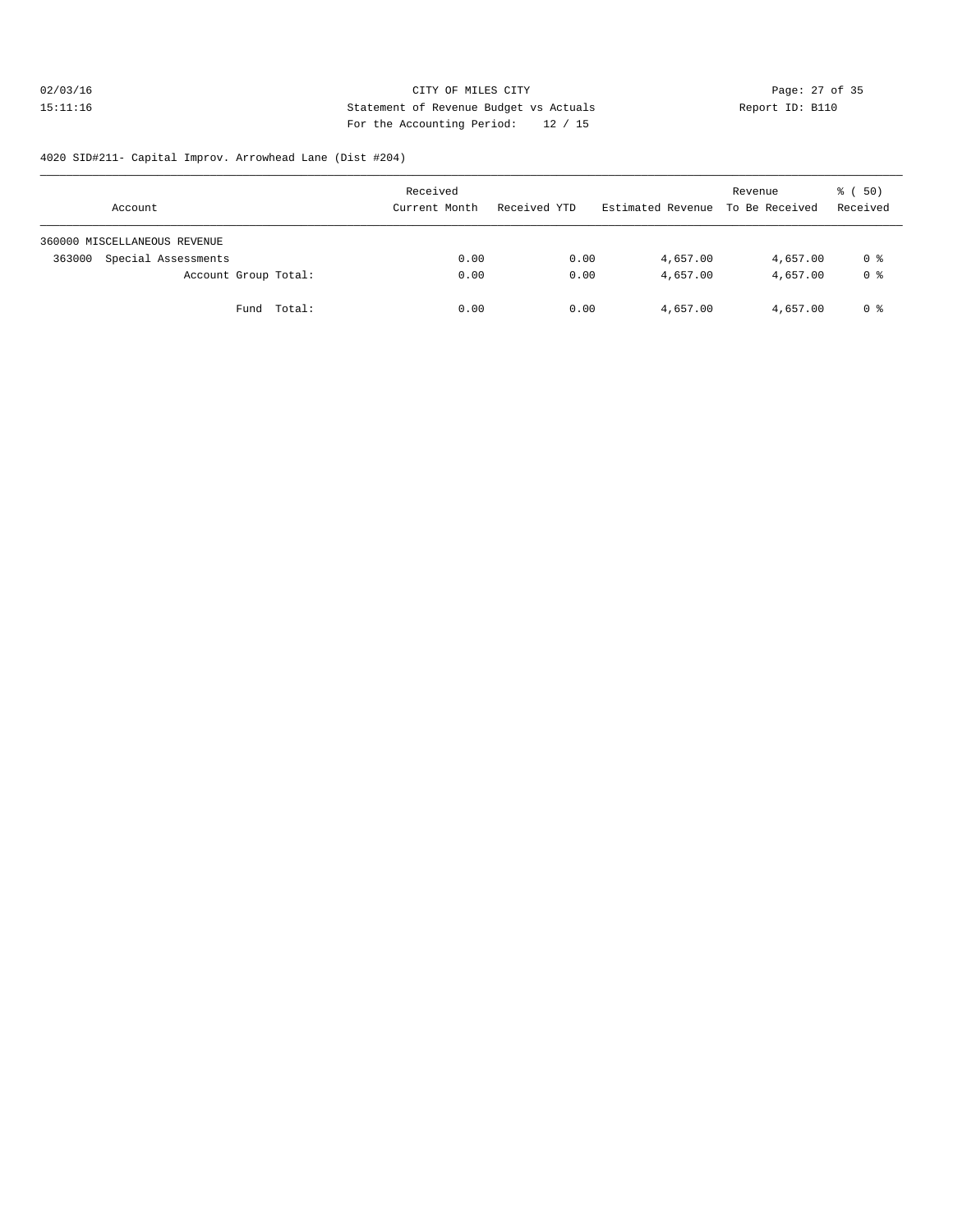# 02/03/16 Page: 27 of 35<br>
15:11:16 Page: 27 of 35<br>
Statement of Revenue Budget vs Actuals<br>
Page: 12 / 15<br>
Page: 27 of 35<br>
Report ID: B110 15:11:16 Statement of Revenue Budget vs Actuals Report ID: B110 For the Accounting Period: 12 / 15

#### 4020 SID#211- Capital Improv. Arrowhead Lane (Dist #204)

| Account                       | Received<br>Current Month | Received YTD | Estimated Revenue To Be Received | Revenue  | 8 ( 50)<br>Received |
|-------------------------------|---------------------------|--------------|----------------------------------|----------|---------------------|
| 360000 MISCELLANEOUS REVENUE  |                           |              |                                  |          |                     |
| Special Assessments<br>363000 | 0.00                      | 0.00         | 4,657.00                         | 4,657.00 | 0 %                 |
| Account Group Total:          | 0.00                      | 0.00         | 4,657.00                         | 4,657.00 | 0 <sup>8</sup>      |
| Fund Total:                   | 0.00                      | 0.00         | 4,657.00                         | 4,657.00 | 0 %                 |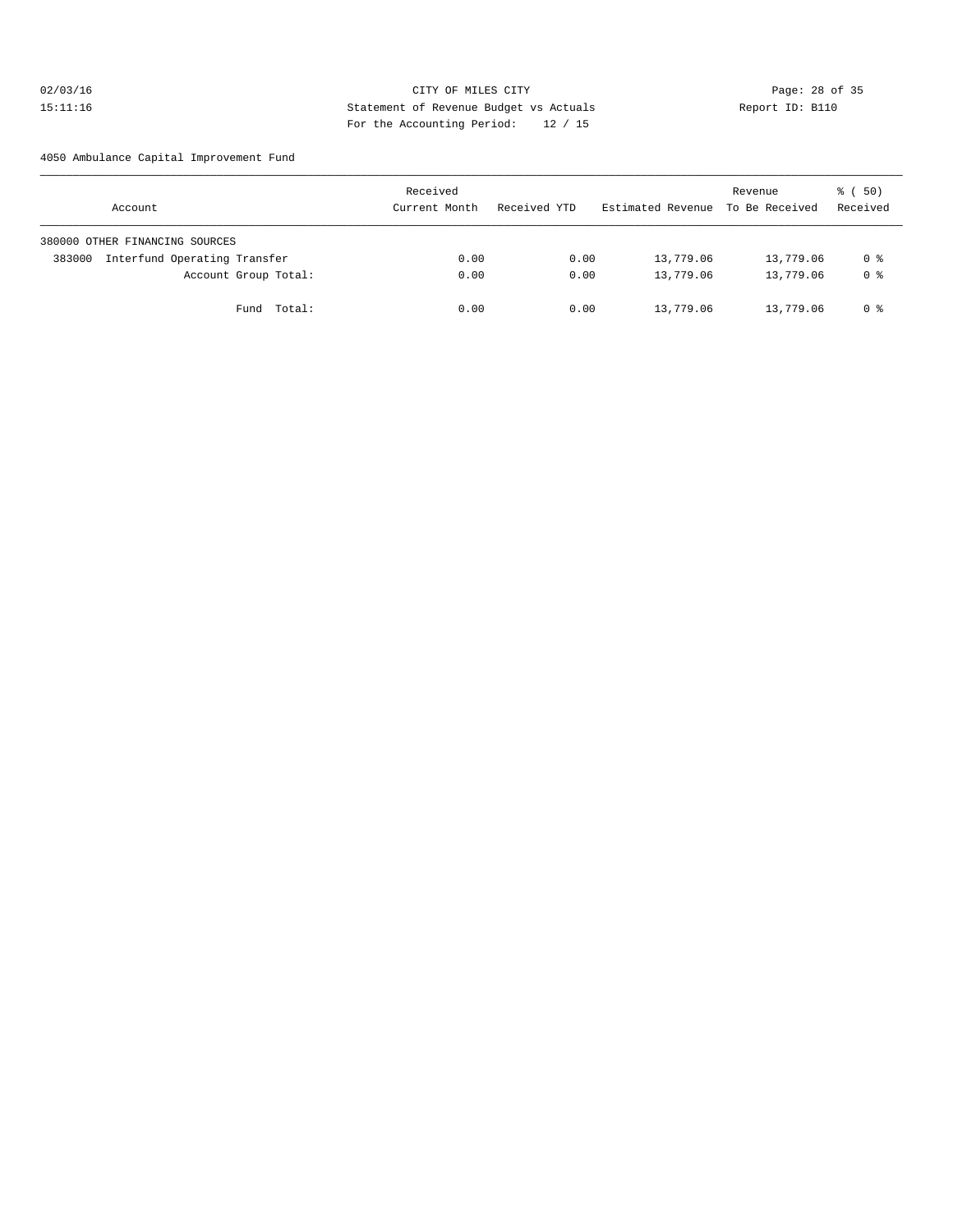# 02/03/16 Page: 28 of 35 15:11:16 Statement of Revenue Budget vs Actuals Report ID: B110 For the Accounting Period: 12 / 15

4050 Ambulance Capital Improvement Fund

| Account                                | Received<br>Current Month | Received YTD | Estimated Revenue To Be Received | Revenue   | ៖ (50)<br>Received |
|----------------------------------------|---------------------------|--------------|----------------------------------|-----------|--------------------|
| 380000 OTHER FINANCING SOURCES         |                           |              |                                  |           |                    |
| Interfund Operating Transfer<br>383000 | 0.00                      | 0.00         | 13,779.06                        | 13,779.06 | 0 %                |
| Account Group Total:                   | 0.00                      | 0.00         | 13,779.06                        | 13,779.06 | 0 <sup>8</sup>     |
| Fund Total:                            | 0.00                      | 0.00         | 13,779.06                        | 13,779.06 | 0 %                |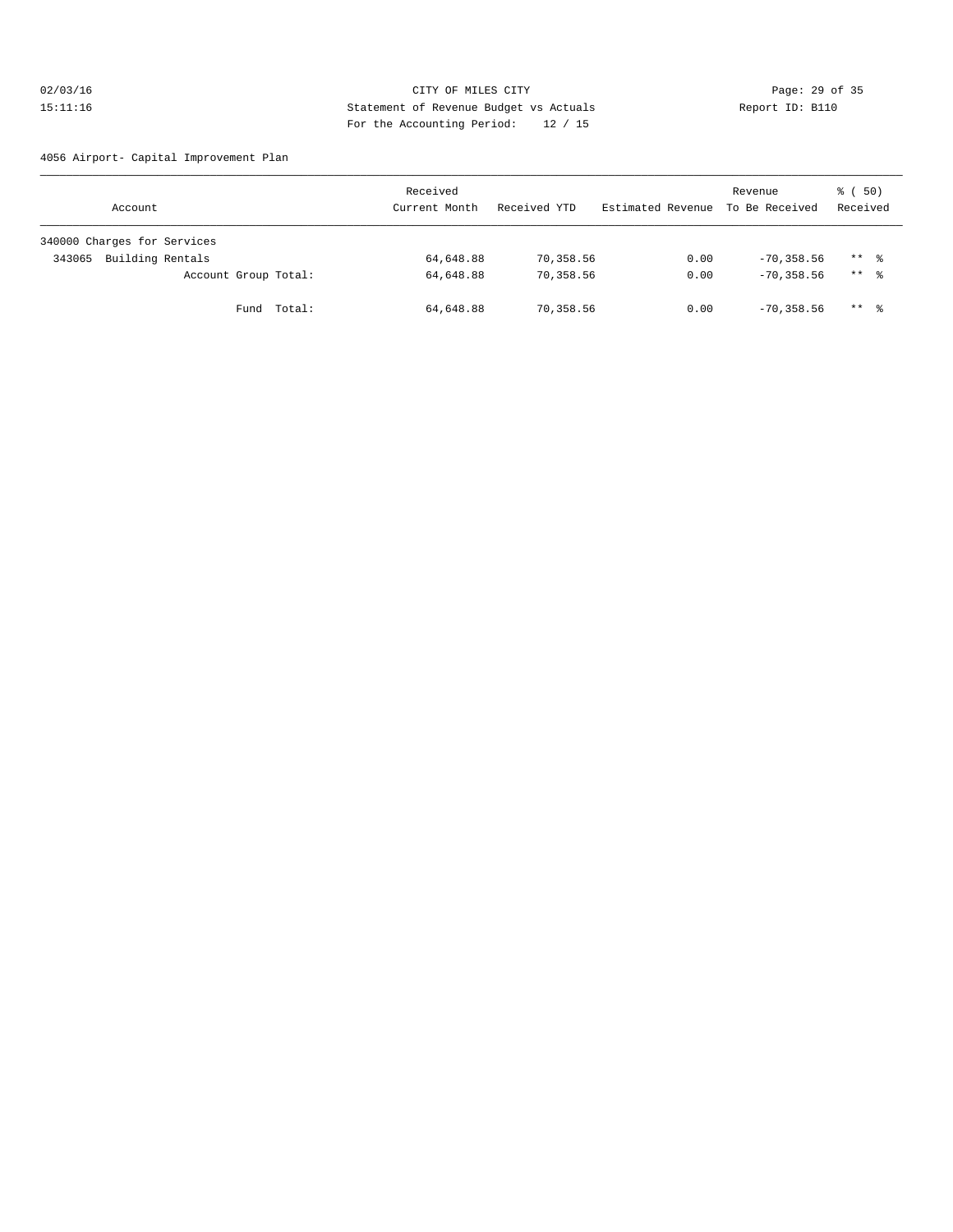# 02/03/16 Page: 29 of 35 15:11:16 Statement of Revenue Budget vs Actuals Report ID: B110 For the Accounting Period: 12 / 15

4056 Airport- Capital Improvement Plan

| Account                     | Received<br>Current Month | Received YTD | Estimated Revenue | Revenue<br>To Be Received | 8 ( 50)<br>Received |
|-----------------------------|---------------------------|--------------|-------------------|---------------------------|---------------------|
| 340000 Charges for Services |                           |              |                   |                           |                     |
| Building Rentals<br>343065  | 64,648.88                 | 70,358.56    | 0.00              | $-70, 358.56$             | $***$ 8             |
| Account Group Total:        | 64,648.88                 | 70,358.56    | 0.00              | $-70, 358, 56$            | $***$ 8             |
| Fund Total:                 | 64,648.88                 | 70,358.56    | 0.00              | $-70, 358, 56$            | $***$ $\frac{6}{3}$ |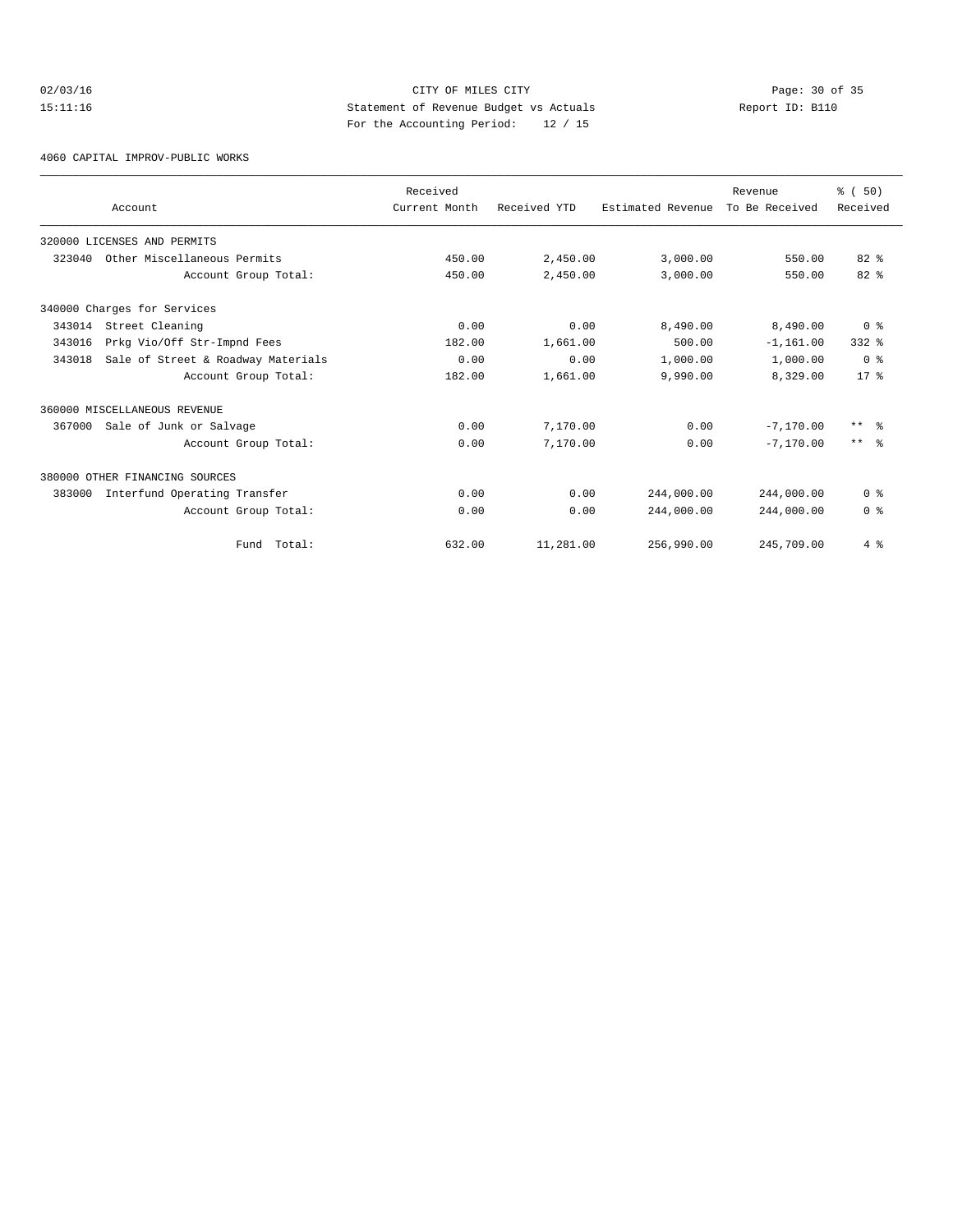# 02/03/16 Page: 30 of 35 15:11:16 Statement of Revenue Budget vs Actuals Report ID: B110 For the Accounting Period: 12 / 15

4060 CAPITAL IMPROV-PUBLIC WORKS

|        |                                    | Received      |              |                   | Revenue        | % (50)          |
|--------|------------------------------------|---------------|--------------|-------------------|----------------|-----------------|
|        | Account                            | Current Month | Received YTD | Estimated Revenue | To Be Received | Received        |
|        | 320000 LICENSES AND PERMITS        |               |              |                   |                |                 |
| 323040 | Other Miscellaneous Permits        | 450.00        | 2,450.00     | 3,000.00          | 550.00         | 82%             |
|        | Account Group Total:               | 450.00        | 2,450.00     | 3.000.00          | 550.00         | 82%             |
|        | 340000 Charges for Services        |               |              |                   |                |                 |
| 343014 | Street Cleaning                    | 0.00          | 0.00         | 8,490.00          | 8,490.00       | 0 <sup>8</sup>  |
| 343016 | Prkg Vio/Off Str-Impnd Fees        | 182.00        | 1,661.00     | 500.00            | $-1, 161.00$   | $332$ $%$       |
| 343018 | Sale of Street & Roadway Materials | 0.00          | 0.00         | 1,000.00          | 1,000.00       | 0 <sup>8</sup>  |
|        | Account Group Total:               | 182.00        | 1,661.00     | 9,990.00          | 8,329.00       | $17*$           |
|        | 360000 MISCELLANEOUS REVENUE       |               |              |                   |                |                 |
| 367000 | Sale of Junk or Salvage            | 0.00          | 7,170.00     | 0.00              | $-7,170,00$    | $***$ $ -$      |
|        | Account Group Total:               | 0.00          | 7,170.00     | 0.00              | $-7.170.00$    | $***$ $\approx$ |
|        | 380000 OTHER FINANCING SOURCES     |               |              |                   |                |                 |
| 383000 | Interfund Operating Transfer       | 0.00          | 0.00         | 244,000.00        | 244,000.00     | 0 <sup>8</sup>  |
|        | Account Group Total:               | 0.00          | 0.00         | 244,000.00        | 244,000.00     | 0 <sup>8</sup>  |
|        | Total:<br>Fund                     | 632.00        | 11,281.00    | 256,990.00        | 245,709.00     | 4%              |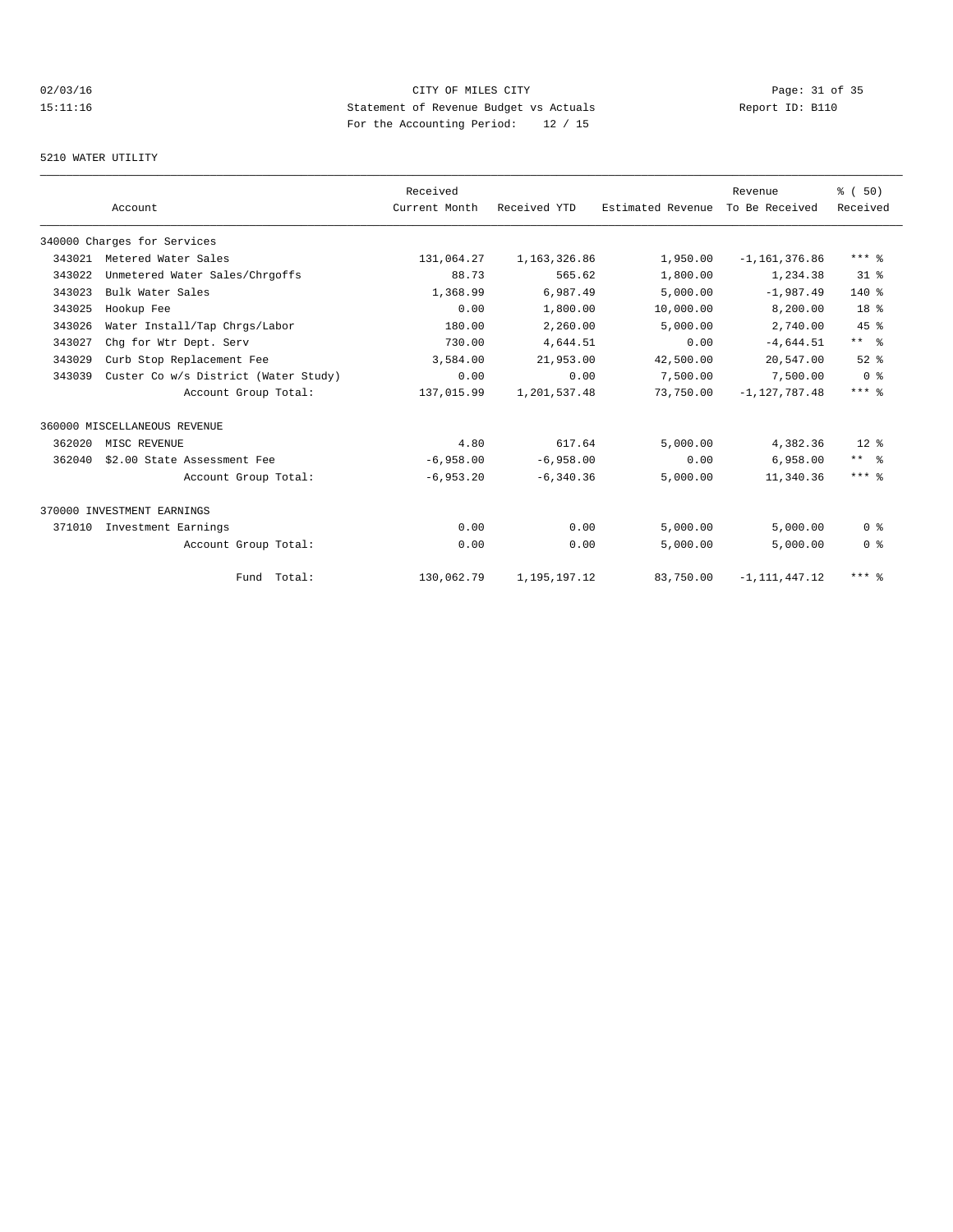# 02/03/16 Page: 31 of 35 15:11:16 Statement of Revenue Budget vs Actuals Report ID: B110 For the Accounting Period: 12 / 15

#### 5210 WATER UTILITY

|        |                                      | Received      |              |                   | Revenue           | % (50)          |
|--------|--------------------------------------|---------------|--------------|-------------------|-------------------|-----------------|
|        | Account                              | Current Month | Received YTD | Estimated Revenue | To Be Received    | Received        |
|        | 340000 Charges for Services          |               |              |                   |                   |                 |
| 343021 | Metered Water Sales                  | 131,064.27    | 1,163,326.86 | 1,950.00          | $-1, 161, 376.86$ | $***$ 8         |
| 343022 | Unmetered Water Sales/Chrgoffs       | 88.73         | 565.62       | 1,800.00          | 1,234.38          | $31$ %          |
| 343023 | Bulk Water Sales                     | 1,368.99      | 6,987.49     | 5,000.00          | $-1,987.49$       | $140*$          |
| 343025 | Hookup Fee                           | 0.00          | 1,800.00     | 10,000.00         | 8,200.00          | 18 <sup>8</sup> |
| 343026 | Water Install/Tap Chrgs/Labor        | 180.00        | 2,260.00     | 5,000.00          | 2,740.00          | 45 %            |
| 343027 | Chq for Wtr Dept. Serv               | 730.00        | 4,644.51     | 0.00              | $-4,644.51$       | $***$ $\approx$ |
| 343029 | Curb Stop Replacement Fee            | 3,584.00      | 21,953.00    | 42,500.00         | 20,547.00         | $52$ $%$        |
| 343039 | Custer Co w/s District (Water Study) | 0.00          | 0.00         | 7,500.00          | 7,500.00          | 0 <sup>8</sup>  |
|        | Account Group Total:                 | 137,015.99    | 1,201,537.48 | 73,750.00         | $-1.127.787.48$   | $***$ $%$       |
|        | 360000 MISCELLANEOUS REVENUE         |               |              |                   |                   |                 |
| 362020 | MISC REVENUE                         | 4.80          | 617.64       | 5,000.00          | 4,382.36          | $12*$           |
| 362040 | \$2.00 State Assessment Fee          | $-6,958.00$   | $-6,958.00$  | 0.00              | 6,958.00          | $***$ %         |
|        | Account Group Total:                 | $-6,953.20$   | $-6, 340.36$ | 5,000.00          | 11,340.36         | $***$ %         |
|        | 370000 INVESTMENT EARNINGS           |               |              |                   |                   |                 |
| 371010 | Investment Earnings                  | 0.00          | 0.00         | 5,000.00          | 5,000.00          | 0 <sup>8</sup>  |
|        | Account Group Total:                 | 0.00          | 0.00         | 5,000.00          | 5,000.00          | 0 <sup>8</sup>  |
|        | Fund Total:                          | 130,062.79    | 1,195,197.12 | 83,750.00         | $-1, 111, 447.12$ | $***$ 2         |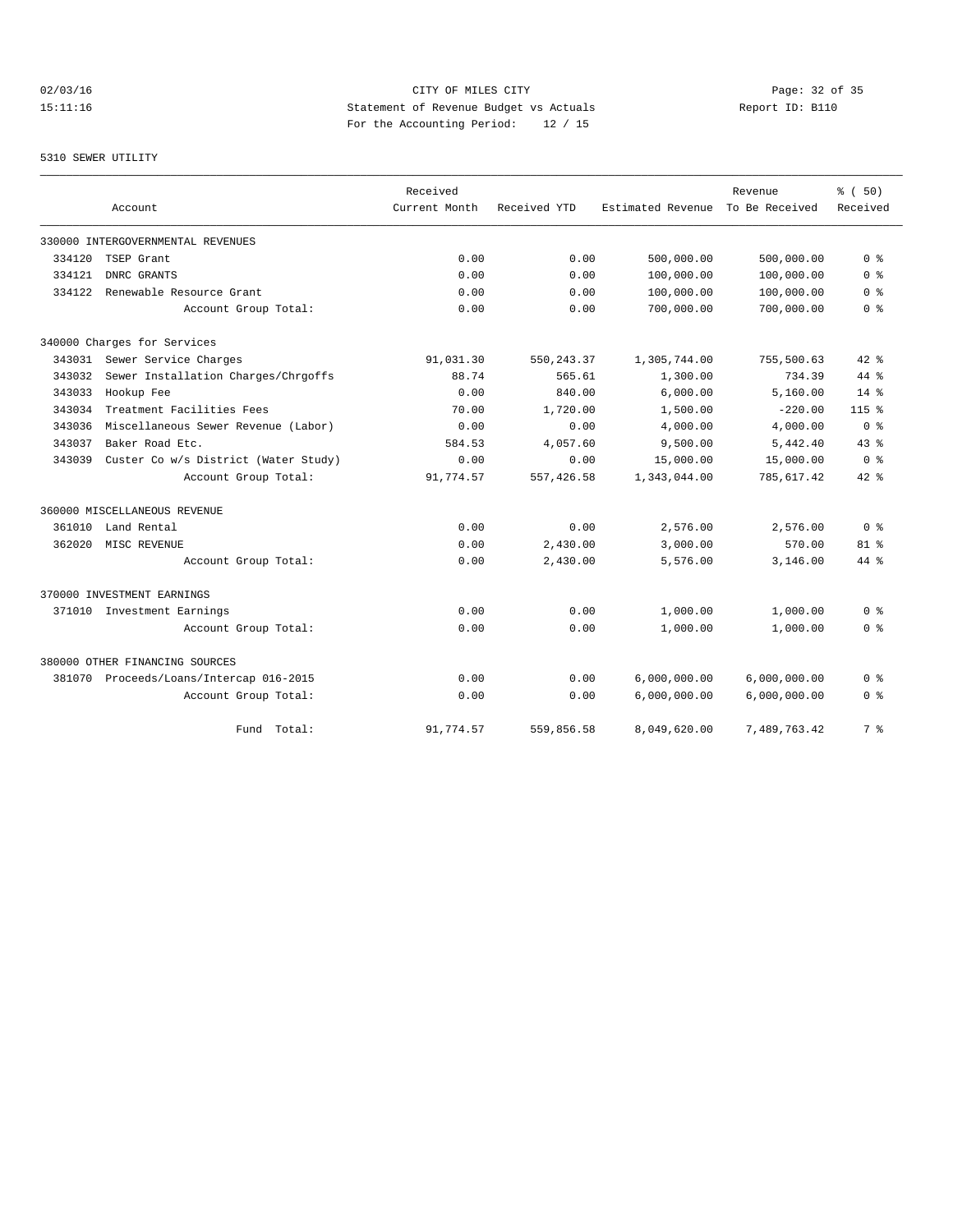# 02/03/16 Page: 32 of 35 15:11:16 Statement of Revenue Budget vs Actuals Report ID: B110 For the Accounting Period: 12 / 15

#### 5310 SEWER UTILITY

|        |                                         | Received      |              |                   | Revenue        | % (50)         |
|--------|-----------------------------------------|---------------|--------------|-------------------|----------------|----------------|
|        | Account                                 | Current Month | Received YTD | Estimated Revenue | To Be Received | Received       |
|        | 330000 INTERGOVERNMENTAL REVENUES       |               |              |                   |                |                |
| 334120 | TSEP Grant                              | 0.00          | 0.00         | 500,000.00        | 500,000.00     | 0 <sup>8</sup> |
| 334121 | DNRC GRANTS                             | 0.00          | 0.00         | 100,000.00        | 100,000.00     | 0 <sup>8</sup> |
| 334122 | Renewable Resource Grant                | 0.00          | 0.00         | 100,000.00        | 100,000.00     | 0 <sup>8</sup> |
|        | Account Group Total:                    | 0.00          | 0.00         | 700,000.00        | 700,000.00     | 0 <sup>8</sup> |
|        | 340000 Charges for Services             |               |              |                   |                |                |
| 343031 | Sewer Service Charges                   | 91,031.30     | 550, 243.37  | 1,305,744.00      | 755,500.63     | $42$ $%$       |
| 343032 | Sewer Installation Charges/Chrgoffs     | 88.74         | 565.61       | 1,300.00          | 734.39         | 44 %           |
| 343033 | Hookup Fee                              | 0.00          | 840.00       | 6,000.00          | 5,160.00       | $14*$          |
| 343034 | Treatment Facilities Fees               | 70.00         | 1,720.00     | 1,500.00          | $-220.00$      | $115$ %        |
| 343036 | Miscellaneous Sewer Revenue (Labor)     | 0.00          | 0.00         | 4,000.00          | 4,000.00       | 0 <sup>8</sup> |
| 343037 | Baker Road Etc.                         | 584.53        | 4,057.60     | 9,500.00          | 5,442.40       | 43.8           |
| 343039 | Custer Co w/s District (Water Study)    | 0.00          | 0.00         | 15,000.00         | 15,000.00      | 0 <sup>8</sup> |
|        | Account Group Total:                    | 91,774.57     | 557,426.58   | 1,343,044.00      | 785,617.42     | $42$ $%$       |
|        | 360000 MISCELLANEOUS REVENUE            |               |              |                   |                |                |
| 361010 | Land Rental                             | 0.00          | 0.00         | 2,576.00          | 2,576.00       | 0 <sup>8</sup> |
| 362020 | MISC REVENUE                            | 0.00          | 2.430.00     | 3,000.00          | 570.00         | $81$ %         |
|        | Account Group Total:                    | 0.00          | 2,430.00     | 5,576.00          | 3,146.00       | 44 %           |
|        | 370000 INVESTMENT EARNINGS              |               |              |                   |                |                |
|        | 371010 Investment Earnings              | 0.00          | 0.00         | 1,000.00          | 1,000.00       | 0 <sup>8</sup> |
|        | Account Group Total:                    | 0.00          | 0.00         | 1,000.00          | 1,000.00       | 0 %            |
|        | 380000 OTHER FINANCING SOURCES          |               |              |                   |                |                |
|        | 381070 Proceeds/Loans/Intercap 016-2015 | 0.00          | 0.00         | 6,000,000.00      | 6,000,000.00   | 0 <sup>8</sup> |
|        | Account Group Total:                    | 0.00          | 0.00         | 6,000,000.00      | 6,000,000.00   | 0 <sup>8</sup> |
|        | Fund Total:                             | 91,774.57     | 559,856.58   | 8,049,620.00      | 7,489,763.42   | 7 %            |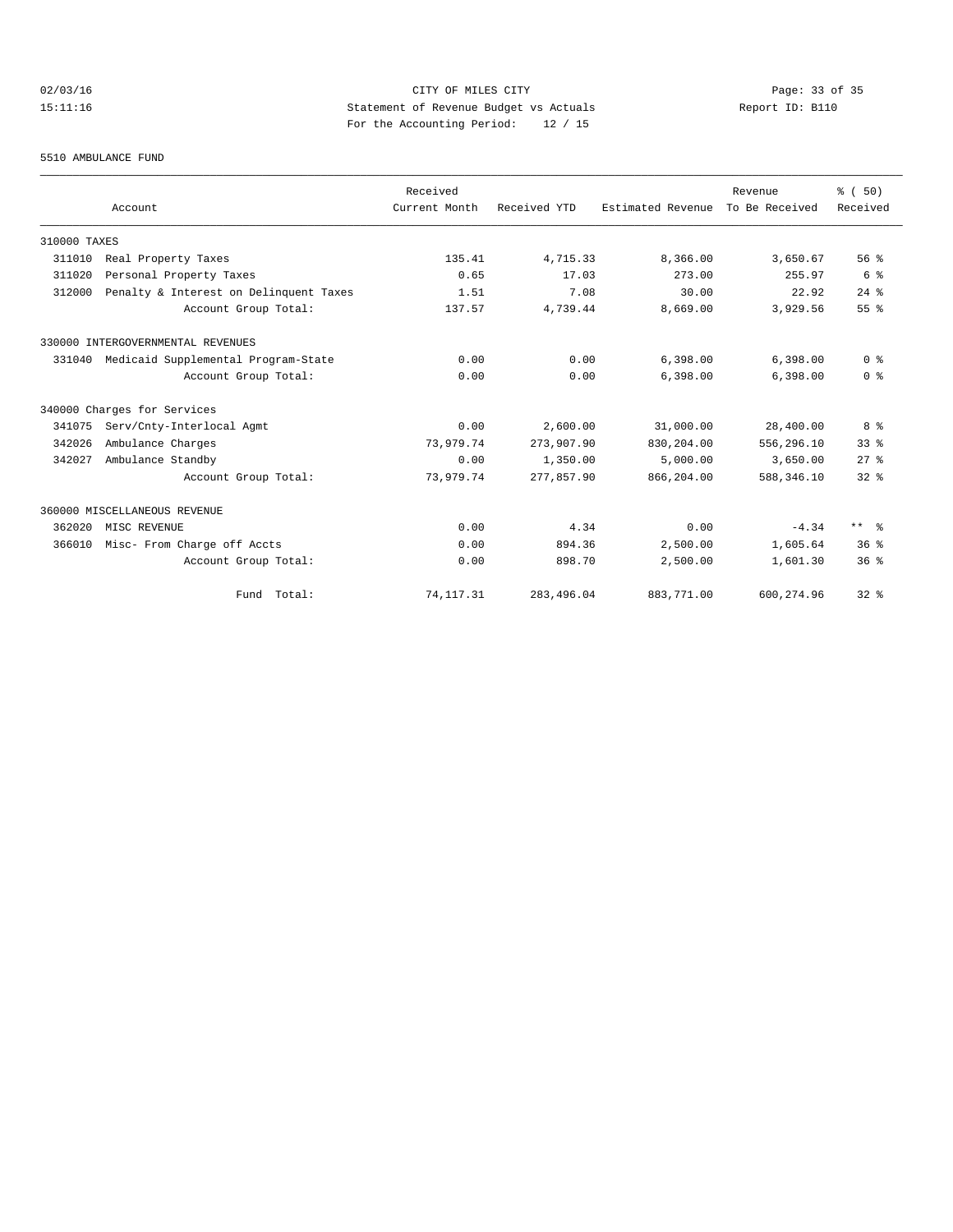# 02/03/16 Page: 33 of 35 15:11:16 Statement of Revenue Budget vs Actuals Report ID: B110 For the Accounting Period: 12 / 15

#### 5510 AMBULANCE FUND

|              |                                        | Received      |              |                   | Revenue        | % (50)          |
|--------------|----------------------------------------|---------------|--------------|-------------------|----------------|-----------------|
|              | Account                                | Current Month | Received YTD | Estimated Revenue | To Be Received | Received        |
| 310000 TAXES |                                        |               |              |                   |                |                 |
| 311010       | Real Property Taxes                    | 135.41        | 4,715.33     | 8,366.00          | 3,650.67       | 56%             |
| 311020       | Personal Property Taxes                | 0.65          | 17.03        | 273.00            | 255.97         | 6 %             |
| 312000       | Penalty & Interest on Delinquent Taxes | 1.51          | 7.08         | 30.00             | 22.92          | $24$ $%$        |
|              | Account Group Total:                   | 137.57        | 4,739.44     | 8,669.00          | 3,929.56       | 55%             |
|              | 330000 INTERGOVERNMENTAL REVENUES      |               |              |                   |                |                 |
| 331040       | Medicaid Supplemental Program-State    | 0.00          | 0.00         | 6,398.00          | 6,398.00       | 0 <sup>8</sup>  |
|              | Account Group Total:                   | 0.00          | 0.00         | 6,398.00          | 6,398.00       | 0 <sup>8</sup>  |
|              | 340000 Charges for Services            |               |              |                   |                |                 |
| 341075       | Serv/Cnty-Interlocal Agmt              | 0.00          | 2,600.00     | 31,000.00         | 28,400.00      | 8 %             |
| 342026       | Ambulance Charges                      | 73,979.74     | 273,907.90   | 830,204.00        | 556,296.10     | 33 <sup>8</sup> |
| 342027       | Ambulance Standby                      | 0.00          | 1,350.00     | 5,000.00          | 3,650.00       | $27$ $%$        |
|              | Account Group Total:                   | 73,979.74     | 277,857.90   | 866,204.00        | 588,346.10     | $32*$           |
|              | 360000 MISCELLANEOUS REVENUE           |               |              |                   |                |                 |
| 362020       | MISC REVENUE                           | 0.00          | 4.34         | 0.00              | $-4.34$        | $***$ $\approx$ |
| 366010       | Misc- From Charge off Accts            | 0.00          | 894.36       | 2,500.00          | 1,605.64       | 36 <sup>8</sup> |
|              | Account Group Total:                   | 0.00          | 898.70       | 2,500.00          | 1,601.30       | 36 <sup>8</sup> |
|              | Fund Total:                            | 74, 117. 31   | 283,496.04   | 883,771.00        | 600, 274.96    | $32$ $%$        |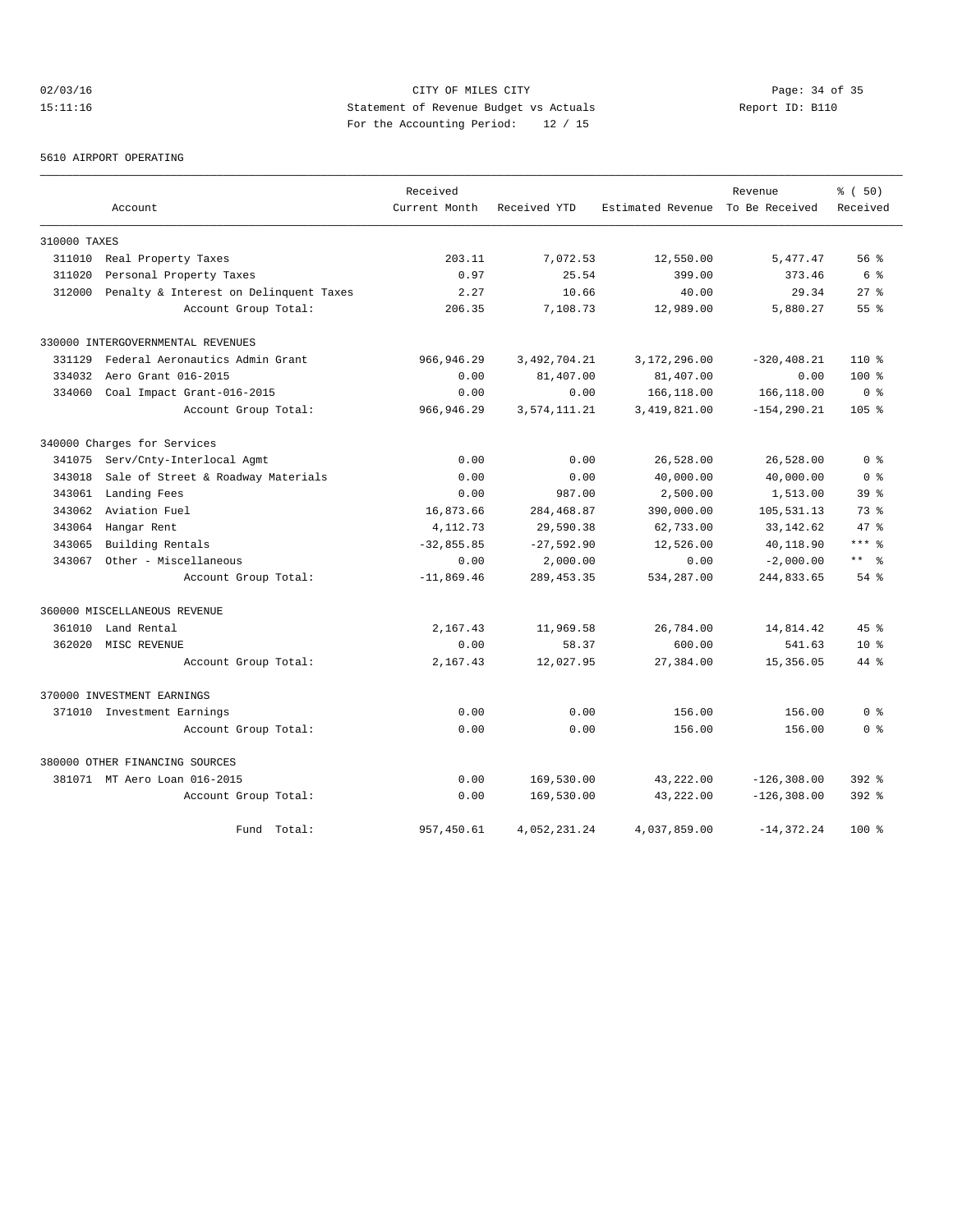# 02/03/16 Page: 34 of 35 15:11:16 Statement of Revenue Budget vs Actuals Report ID: B110 For the Accounting Period: 12 / 15

5610 AIRPORT OPERATING

|              |                                        | Received      |              |                                  | Revenue        | % (50)           |
|--------------|----------------------------------------|---------------|--------------|----------------------------------|----------------|------------------|
|              | Account                                | Current Month | Received YTD | Estimated Revenue To Be Received |                | Received         |
| 310000 TAXES |                                        |               |              |                                  |                |                  |
| 311010       | Real Property Taxes                    | 203.11        | 7,072.53     | 12,550.00                        | 5,477.47       | 56%              |
| 311020       | Personal Property Taxes                | 0.97          | 25.54        | 399.00                           | 373.46         | 6%               |
| 312000       | Penalty & Interest on Delinquent Taxes | 2.27          | 10.66        | 40.00                            | 29.34          | $27$ $%$         |
|              | Account Group Total:                   | 206.35        | 7,108.73     | 12,989.00                        | 5,880.27       | 55 <sup>8</sup>  |
|              | 330000 INTERGOVERNMENTAL REVENUES      |               |              |                                  |                |                  |
| 331129       | Federal Aeronautics Admin Grant        | 966,946.29    | 3,492,704.21 | 3,172,296.00                     | $-320, 408.21$ | $110*$           |
| 334032       | Aero Grant 016-2015                    | 0.00          | 81,407.00    | 81,407.00                        | 0.00           | $100*$           |
| 334060       | Coal Impact Grant-016-2015             | 0.00          | 0.00         | 166,118.00                       | 166,118.00     | 0 <sup>8</sup>   |
|              | Account Group Total:                   | 966, 946.29   | 3,574,111.21 | 3, 419, 821.00                   | $-154, 290.21$ | 105 <sub>8</sub> |
|              | 340000 Charges for Services            |               |              |                                  |                |                  |
| 341075       | Serv/Cnty-Interlocal Agmt              | 0.00          | 0.00         | 26,528.00                        | 26,528.00      | 0 <sup>8</sup>   |
| 343018       | Sale of Street & Roadway Materials     | 0.00          | 0.00         | 40,000.00                        | 40,000.00      | 0 <sup>8</sup>   |
| 343061       | Landing Fees                           | 0.00          | 987.00       | 2,500.00                         | 1,513.00       | 39 <sup>8</sup>  |
| 343062       | Aviation Fuel                          | 16,873.66     | 284,468.87   | 390,000.00                       | 105,531.13     | 73%              |
| 343064       | Hangar Rent                            | 4, 112.73     | 29,590.38    | 62,733.00                        | 33, 142.62     | 47.8             |
| 343065       | Building Rentals                       | $-32,855.85$  | $-27,592.90$ | 12,526.00                        | 40,118.90      | $***$ $%$        |
| 343067       | Other - Miscellaneous                  | 0.00          | 2,000.00     | 0.00                             | $-2,000.00$    | $***$ $ -$       |
|              | Account Group Total:                   | $-11,869.46$  | 289, 453.35  | 534,287.00                       | 244,833.65     | $54$ $%$         |
|              | 360000 MISCELLANEOUS REVENUE           |               |              |                                  |                |                  |
| 361010       | Land Rental                            | 2,167.43      | 11,969.58    | 26,784.00                        | 14,814.42      | 45%              |
| 362020       | MISC REVENUE                           | 0.00          | 58.37        | 600.00                           | 541.63         | 10 <sup>8</sup>  |
|              | Account Group Total:                   | 2,167.43      | 12,027.95    | 27,384.00                        | 15,356.05      | 44 %             |
|              | 370000 INVESTMENT EARNINGS             |               |              |                                  |                |                  |
|              | 371010 Investment Earnings             | 0.00          | 0.00         | 156.00                           | 156.00         | 0 <sup>8</sup>   |
|              | Account Group Total:                   | 0.00          | 0.00         | 156.00                           | 156.00         | 0 %              |
|              | 380000 OTHER FINANCING SOURCES         |               |              |                                  |                |                  |
|              | 381071 MT Aero Loan 016-2015           | 0.00          | 169,530.00   | 43,222.00                        | $-126, 308.00$ | $392$ $%$        |
|              | Account Group Total:                   | 0.00          | 169,530.00   | 43,222.00                        | $-126, 308.00$ | $392$ $%$        |
|              | Fund Total:                            | 957,450.61    | 4,052,231.24 | 4,037,859.00                     | $-14, 372.24$  | $100*$           |